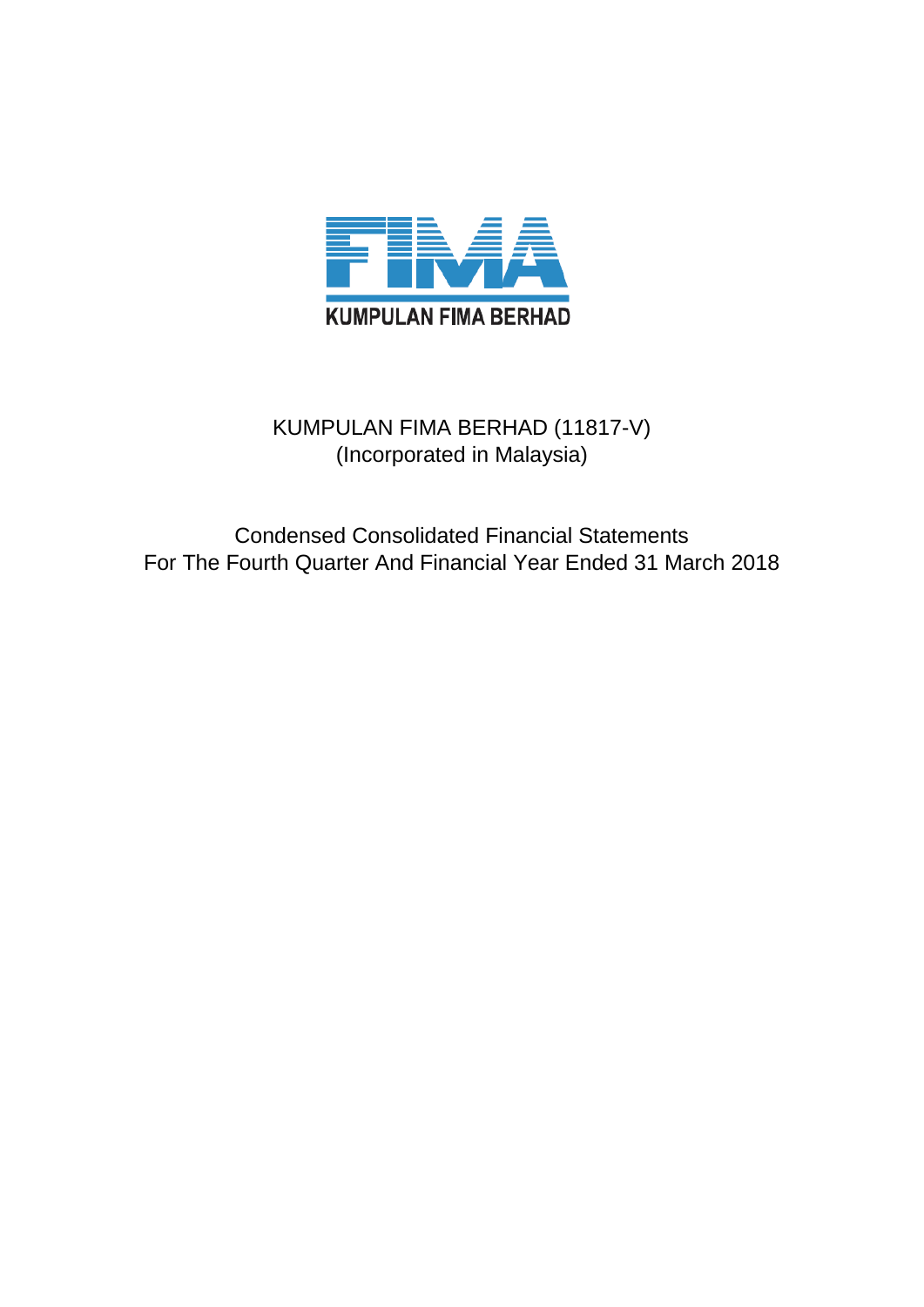

### KUMPULAN FIMA BERHAD (11817-V) (Incorporated in Malaysia)

Condensed Consolidated Financial Statements For The Fourth Quarter And Financial Year Ended 31 March 2018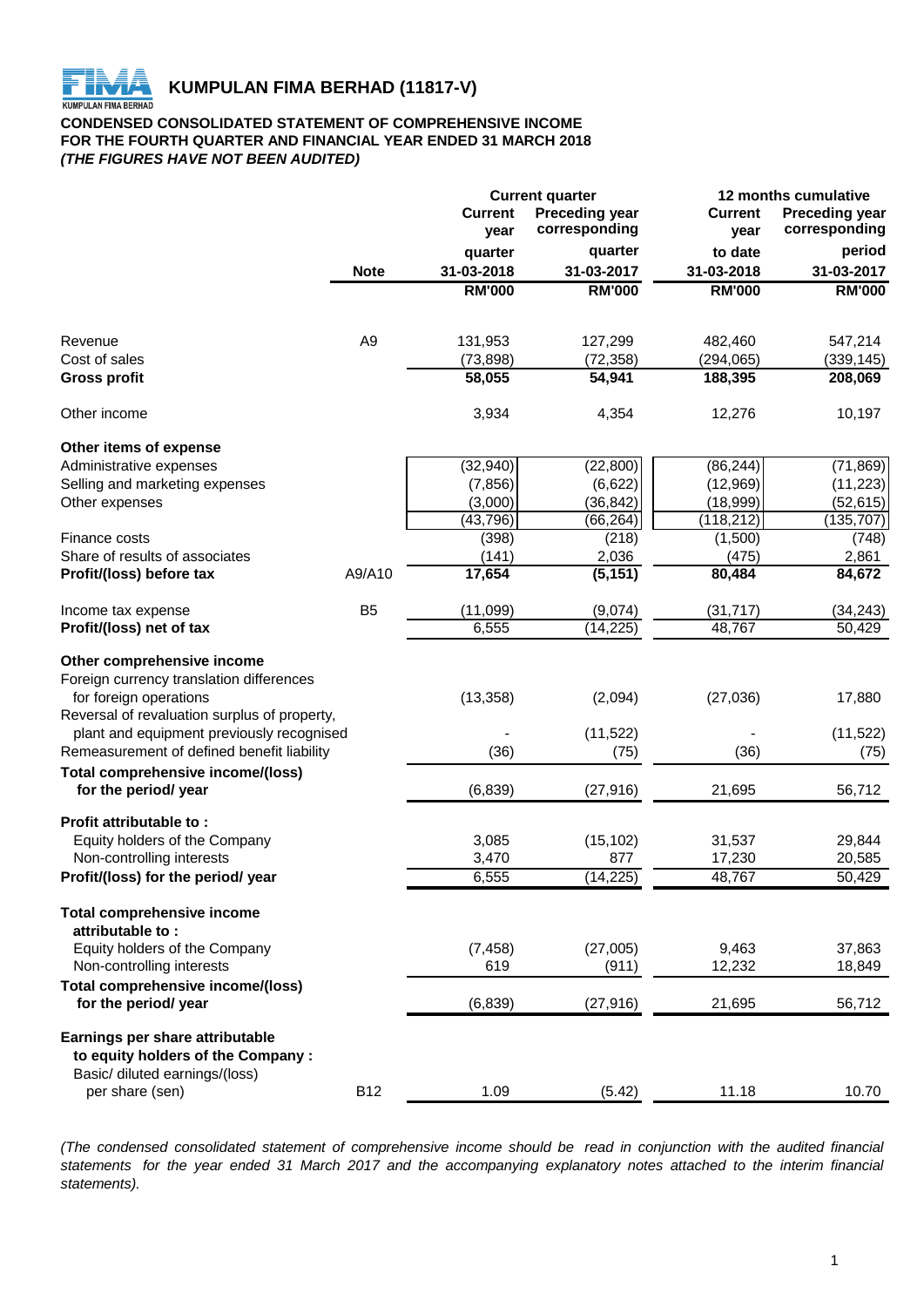**KUMPULAN FIMA BERHAD (11817-V)**<br>KUMPULAN FIMA BERHAD

#### **CONDENSED CONSOLIDATED STATEMENT OF COMPREHENSIVE INCOME FOR THE FOURTH QUARTER AND FINANCIAL YEAR ENDED 31 MARCH 2018** *(THE FIGURES HAVE NOT BEEN AUDITED)*

|                                                           | <b>Current quarter</b> |                        |                                        | 12 months cumulative   |                                        |  |  |
|-----------------------------------------------------------|------------------------|------------------------|----------------------------------------|------------------------|----------------------------------------|--|--|
|                                                           |                        | <b>Current</b><br>year | <b>Preceding year</b><br>corresponding | <b>Current</b><br>year | <b>Preceding year</b><br>corresponding |  |  |
|                                                           |                        | quarter                | quarter                                | to date                | period                                 |  |  |
|                                                           | <b>Note</b>            | 31-03-2018             | 31-03-2017                             | 31-03-2018             | 31-03-2017                             |  |  |
|                                                           |                        | <b>RM'000</b>          | <b>RM'000</b>                          | <b>RM'000</b>          | <b>RM'000</b>                          |  |  |
|                                                           |                        |                        |                                        |                        |                                        |  |  |
| Revenue                                                   | A <sub>9</sub>         | 131,953                | 127,299                                | 482,460                | 547,214                                |  |  |
| Cost of sales                                             |                        | (73, 898)              | (72, 358)                              | (294, 065)             | (339, 145)                             |  |  |
| <b>Gross profit</b>                                       |                        | 58,055                 | 54,941                                 | 188,395                | 208,069                                |  |  |
| Other income                                              |                        | 3,934                  | 4,354                                  | 12,276                 | 10,197                                 |  |  |
| Other items of expense                                    |                        |                        |                                        |                        |                                        |  |  |
| Administrative expenses                                   |                        | (32, 940)              | (22, 800)                              | (86, 244)              | (71, 869)                              |  |  |
| Selling and marketing expenses                            |                        | (7, 856)               | (6,622)                                | (12,969)               | (11, 223)                              |  |  |
| Other expenses                                            |                        | (3,000)                | (36, 842)                              | (18,999)               | (52, 615)                              |  |  |
|                                                           |                        | (43, 796)              | (66, 264)                              | (118, 212)             | (135, 707)                             |  |  |
| Finance costs                                             |                        | (398)                  | (218)                                  | (1,500)                | (748)                                  |  |  |
| Share of results of associates                            |                        | (141)                  | 2,036                                  | (475)                  | 2,861                                  |  |  |
| Profit/(loss) before tax                                  | A9/A10                 | 17,654                 | (5, 151)                               | 80,484                 | 84,672                                 |  |  |
| Income tax expense                                        | B <sub>5</sub>         | (11,099)               | (9,074)                                | (31, 717)              | (34, 243)                              |  |  |
| Profit/(loss) net of tax                                  |                        | 6,555                  | (14, 225)                              | 48,767                 | 50,429                                 |  |  |
| Other comprehensive income                                |                        |                        |                                        |                        |                                        |  |  |
| Foreign currency translation differences                  |                        |                        |                                        |                        |                                        |  |  |
| for foreign operations                                    |                        | (13, 358)              | (2,094)                                | (27, 036)              | 17,880                                 |  |  |
| Reversal of revaluation surplus of property,              |                        |                        |                                        |                        |                                        |  |  |
| plant and equipment previously recognised                 |                        |                        | (11,522)                               |                        | (11, 522)                              |  |  |
| Remeasurement of defined benefit liability                |                        | (36)                   | (75)                                   | (36)                   | (75)                                   |  |  |
|                                                           |                        |                        |                                        |                        |                                        |  |  |
| Total comprehensive income/(loss)<br>for the period/ year |                        | (6, 839)               | (27, 916)                              | 21,695                 | 56,712                                 |  |  |
|                                                           |                        |                        |                                        |                        |                                        |  |  |
| Profit attributable to:                                   |                        |                        |                                        |                        |                                        |  |  |
| Equity holders of the Company                             |                        | 3,085                  | (15, 102)                              | 31,537                 | 29,844                                 |  |  |
| Non-controlling interests                                 |                        | 3,470                  | 877                                    | 17,230                 | 20,585                                 |  |  |
| Profit/(loss) for the period/ year                        |                        | 6,555                  | (14, 225)                              | 48,767                 | 50,429                                 |  |  |
| <b>Total comprehensive income</b>                         |                        |                        |                                        |                        |                                        |  |  |
| attributable to:                                          |                        |                        |                                        |                        |                                        |  |  |
| Equity holders of the Company                             |                        | (7, 458)               | (27,005)                               | 9,463                  | 37,863                                 |  |  |
| Non-controlling interests                                 |                        | 619                    | (911)                                  | 12,232                 | 18,849                                 |  |  |
| <b>Total comprehensive income/(loss)</b>                  |                        |                        |                                        |                        |                                        |  |  |
| for the period/ year                                      |                        | (6, 839)               | (27, 916)                              | 21,695                 | 56,712                                 |  |  |
| Earnings per share attributable                           |                        |                        |                                        |                        |                                        |  |  |
| to equity holders of the Company:                         |                        |                        |                                        |                        |                                        |  |  |
| Basic/ diluted earnings/(loss)                            |                        |                        |                                        |                        |                                        |  |  |
| per share (sen)                                           | <b>B12</b>             | 1.09                   | (5.42)                                 | 11.18                  | 10.70                                  |  |  |

(The condensed consolidated statement of comprehensive income should be read in conjunction with the audited financial statements for the year ended 31 March 2017 and the accompanying explanatory notes attached to the interim financial *statements).*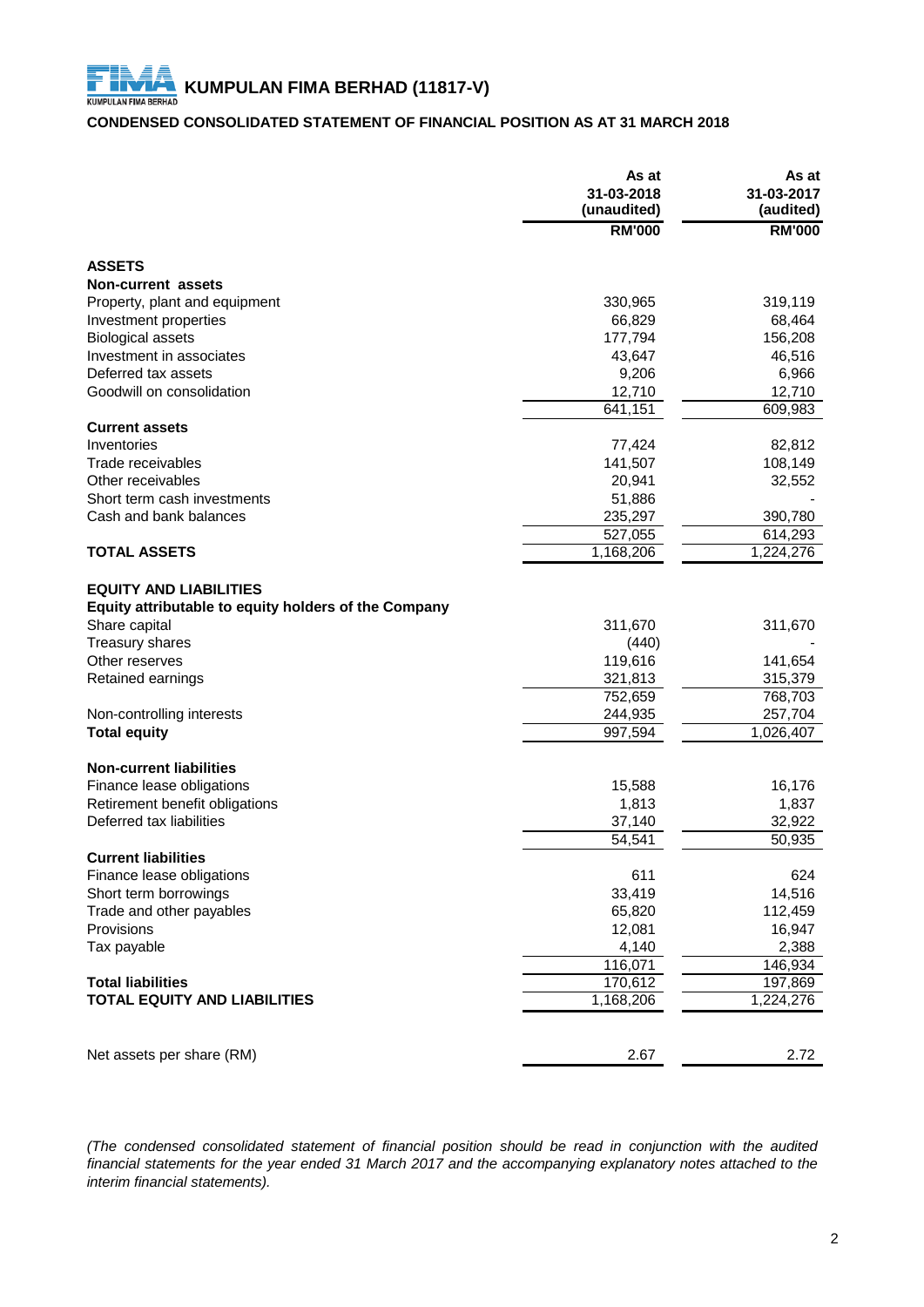### **CONDENSED CONSOLIDATED STATEMENT OF FINANCIAL POSITION AS AT 31 MARCH 2018**

|                                                                                       | As at<br>31-03-2018<br>(unaudited) | As at<br>31-03-2017<br>(audited) |
|---------------------------------------------------------------------------------------|------------------------------------|----------------------------------|
|                                                                                       | <b>RM'000</b>                      | <b>RM'000</b>                    |
| <b>ASSETS</b>                                                                         |                                    |                                  |
| <b>Non-current assets</b>                                                             |                                    |                                  |
| Property, plant and equipment                                                         | 330,965                            | 319,119                          |
| Investment properties                                                                 | 66,829                             | 68,464                           |
| <b>Biological assets</b>                                                              | 177,794                            | 156,208                          |
| Investment in associates                                                              | 43,647                             | 46,516                           |
| Deferred tax assets                                                                   | 9,206                              | 6,966                            |
| Goodwill on consolidation                                                             | 12,710                             | 12,710                           |
|                                                                                       | 641,151                            | 609,983                          |
| <b>Current assets</b>                                                                 |                                    |                                  |
| Inventories                                                                           | 77,424                             | 82,812                           |
| Trade receivables                                                                     | 141,507                            | 108,149                          |
| Other receivables                                                                     | 20,941                             | 32,552                           |
| Short term cash investments                                                           | 51,886                             |                                  |
| Cash and bank balances                                                                | 235,297                            | 390,780                          |
|                                                                                       | 527,055                            | 614,293                          |
| <b>TOTAL ASSETS</b>                                                                   | 1,168,206                          | 1,224,276                        |
| <b>EQUITY AND LIABILITIES</b><br>Equity attributable to equity holders of the Company |                                    |                                  |
| Share capital                                                                         | 311,670                            | 311,670                          |
| Treasury shares                                                                       | (440)                              |                                  |
| Other reserves                                                                        | 119,616                            | 141,654                          |
| Retained earnings                                                                     | 321,813                            | 315,379                          |
|                                                                                       | 752,659                            | 768,703                          |
| Non-controlling interests<br><b>Total equity</b>                                      | 244,935                            | 257,704                          |
|                                                                                       | 997,594                            | 1,026,407                        |
| <b>Non-current liabilities</b>                                                        |                                    |                                  |
| Finance lease obligations                                                             | 15,588                             | 16,176                           |
| Retirement benefit obligations                                                        | 1,813                              | 1,837                            |
| Deferred tax liabilities                                                              | 37,140                             | 32,922                           |
|                                                                                       | $\overline{5}$ 4,541               | 50,935                           |
| <b>Current liabilities</b>                                                            |                                    |                                  |
| Finance lease obligations                                                             | 611                                | 624                              |
| Short term borrowings                                                                 | 33,419                             | 14,516                           |
| Trade and other payables                                                              | 65,820                             | 112,459                          |
| Provisions                                                                            | 12,081                             | 16,947                           |
| Tax payable                                                                           | 4,140                              | 2,388                            |
| <b>Total liabilities</b>                                                              | 116,071                            | 146,934                          |
| <b>TOTAL EQUITY AND LIABILITIES</b>                                                   | 170,612<br>1,168,206               | 197,869<br>1,224,276             |
|                                                                                       |                                    |                                  |
| Net assets per share (RM)                                                             | 2.67                               | 2.72                             |

*(The condensed consolidated statement of financial position should be read in conjunction with the audited* financial statements for the year ended 31 March 2017 and the accompanying explanatory notes attached to the *interim financial statements).*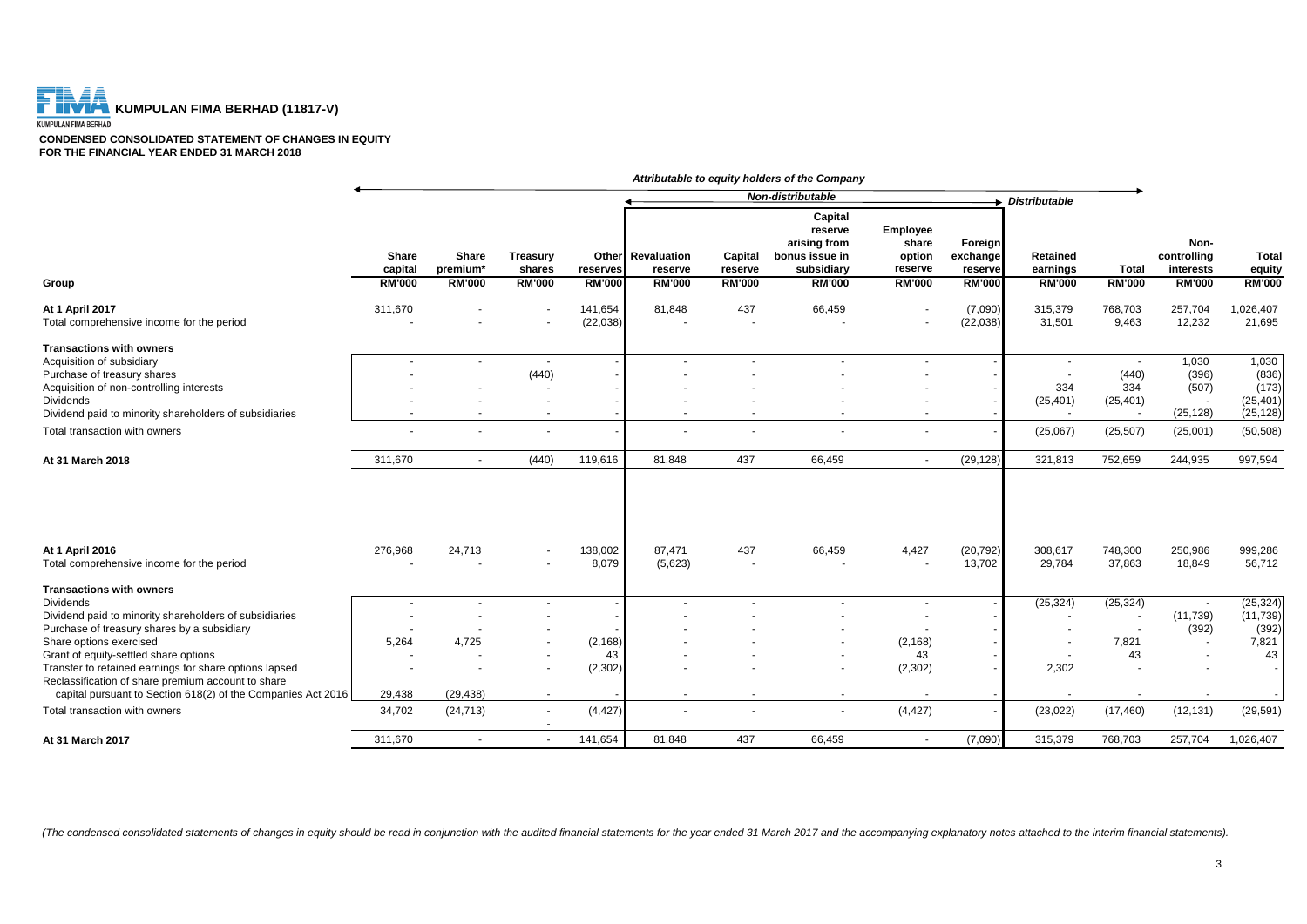

**CONDENSED CONSOLIDATED STATEMENT OF CHANGES IN EQUITY FOR THE FINANCIAL YEAR ENDED 31 MARCH 2018**

|                                                                                                                                                                              |                          |                               |                           |                      |                              |                                 | Attributable to equity holders of the Company                      |                                               |                                |                      |                           |                                  |                                 |
|------------------------------------------------------------------------------------------------------------------------------------------------------------------------------|--------------------------|-------------------------------|---------------------------|----------------------|------------------------------|---------------------------------|--------------------------------------------------------------------|-----------------------------------------------|--------------------------------|----------------------|---------------------------|----------------------------------|---------------------------------|
|                                                                                                                                                                              |                          |                               |                           |                      |                              |                                 | Non-distributable                                                  |                                               |                                | <b>Distributable</b> |                           |                                  |                                 |
|                                                                                                                                                                              | Share<br>capital         | Share<br>premium <sup>*</sup> | <b>Treasury</b><br>shares | reserves             | Other Revaluation<br>reserve | Capital<br>reserve              | Capital<br>reserve<br>arising from<br>bonus issue in<br>subsidiary | <b>Employee</b><br>share<br>option<br>reserve | Foreign<br>exchange<br>reserve | Retained<br>earnings | <b>Total</b>              | Non-<br>controlling<br>interests | <b>Total</b><br>equity          |
| Group                                                                                                                                                                        | <b>RM'000</b>            | <b>RM'000</b>                 | <b>RM'000</b>             | <b>RM'000</b>        | <b>RM'000</b>                | <b>RM'000</b>                   | <b>RM'000</b>                                                      | <b>RM'000</b>                                 | <b>RM'000</b>                  | <b>RM'000</b>        | <b>RM'000</b>             | <b>RM'000</b>                    | <b>RM'000</b>                   |
| At 1 April 2017<br>Total comprehensive income for the period                                                                                                                 | 311,670                  |                               | $\sim$<br>$\blacksquare$  | 141,654<br>(22, 038) | 81,848                       | 437                             | 66,459                                                             | $\blacksquare$                                | (7,090)<br>(22, 038)           | 315,379<br>31,501    | 768,703<br>9,463          | 257,704<br>12,232                | 1,026,407<br>21,695             |
| <b>Transactions with owners</b><br>Acquisition of subsidiary                                                                                                                 | $\overline{\phantom{a}}$ | $\sim$                        | $\sim$                    |                      |                              |                                 | ٠                                                                  |                                               |                                |                      | $\sim$                    | 1,030                            | 1,030                           |
| Purchase of treasury shares<br>Acquisition of non-controlling interests<br><b>Dividends</b>                                                                                  |                          |                               | (440)<br>٠                |                      |                              |                                 |                                                                    |                                               |                                | 334<br>(25, 401)     | (440)<br>334<br>(25, 401) | (396)<br>(507)<br>$\sim$         | (836)<br>(173)<br>(25, 401)     |
| Dividend paid to minority shareholders of subsidiaries                                                                                                                       | $\sim$                   | $\overline{\phantom{a}}$      | $\blacksquare$            |                      | $\sim$                       |                                 | ٠                                                                  | $\sim$                                        |                                |                      | $\sim$                    | (25, 128)                        | (25, 128)                       |
| Total transaction with owners                                                                                                                                                |                          |                               | $\blacksquare$            |                      |                              |                                 |                                                                    |                                               |                                | (25,067)             | (25, 507)                 | (25,001)                         | (50, 508)                       |
| At 31 March 2018                                                                                                                                                             | 311,670                  | $\sim$                        | (440)                     | 119,616              | 81.848                       | 437                             | 66.459                                                             | $\sim$                                        | (29, 128)                      | 321.813              | 752.659                   | 244.935                          | 997.594                         |
| At 1 April 2016<br>Total comprehensive income for the period                                                                                                                 | 276,968                  | 24,713                        | $\blacksquare$<br>$\sim$  | 138,002<br>8,079     | 87,471<br>(5,623)            | 437<br>$\overline{\phantom{a}}$ | 66,459                                                             | 4,427                                         | (20, 792)<br>13,702            | 308,617<br>29,784    | 748,300<br>37,863         | 250,986<br>18,849                | 999,286<br>56,712               |
| <b>Transactions with owners</b>                                                                                                                                              |                          |                               |                           |                      |                              |                                 |                                                                    |                                               |                                |                      |                           |                                  |                                 |
| <b>Dividends</b><br>Dividend paid to minority shareholders of subsidiaries<br>Purchase of treasury shares by a subsidiary                                                    |                          | $\overline{\phantom{a}}$      | $\sim$                    |                      |                              |                                 |                                                                    |                                               |                                | (25, 324)            | (25, 324)                 | (11, 739)<br>(392)               | (25, 324)<br>(11, 739)<br>(392) |
| Share options exercised<br>Grant of equity-settled share options                                                                                                             | 5,264                    | 4,725                         | $\sim$                    | (2, 168)<br>43       |                              |                                 | $\blacksquare$                                                     | (2, 168)<br>43                                |                                |                      | 7,821<br>43               | $\blacksquare$                   | 7,821<br>43                     |
| Transfer to retained earnings for share options lapsed<br>Reclassification of share premium account to share<br>capital pursuant to Section 618(2) of the Companies Act 2016 | 29,438                   | (29, 438)                     | $\blacksquare$<br>$\sim$  | (2, 302)             |                              |                                 | $\blacksquare$<br>$\sim$                                           | (2, 302)                                      |                                | 2,302                |                           |                                  | $\sim$                          |
| Total transaction with owners                                                                                                                                                | 34,702                   | (24, 713)                     | $\sim$<br>$\blacksquare$  | (4, 427)             |                              |                                 | $\blacksquare$                                                     | (4, 427)                                      |                                | (23, 022)            | (17, 460)                 | (12, 131)                        | (29, 591)                       |
| At 31 March 2017                                                                                                                                                             | 311,670                  |                               | $\sim$                    | 141,654              | 81,848                       | 437                             | 66,459                                                             | $\sim$                                        | (7,090)                        | 315,379              | 768,703                   | 257,704                          | 1,026,407                       |

(The condensed consolidated statements of changes in equity should be read in conjunction with the audited financial statements for the year ended 31 March 2017 and the accompanying explanatory notes attached to the interi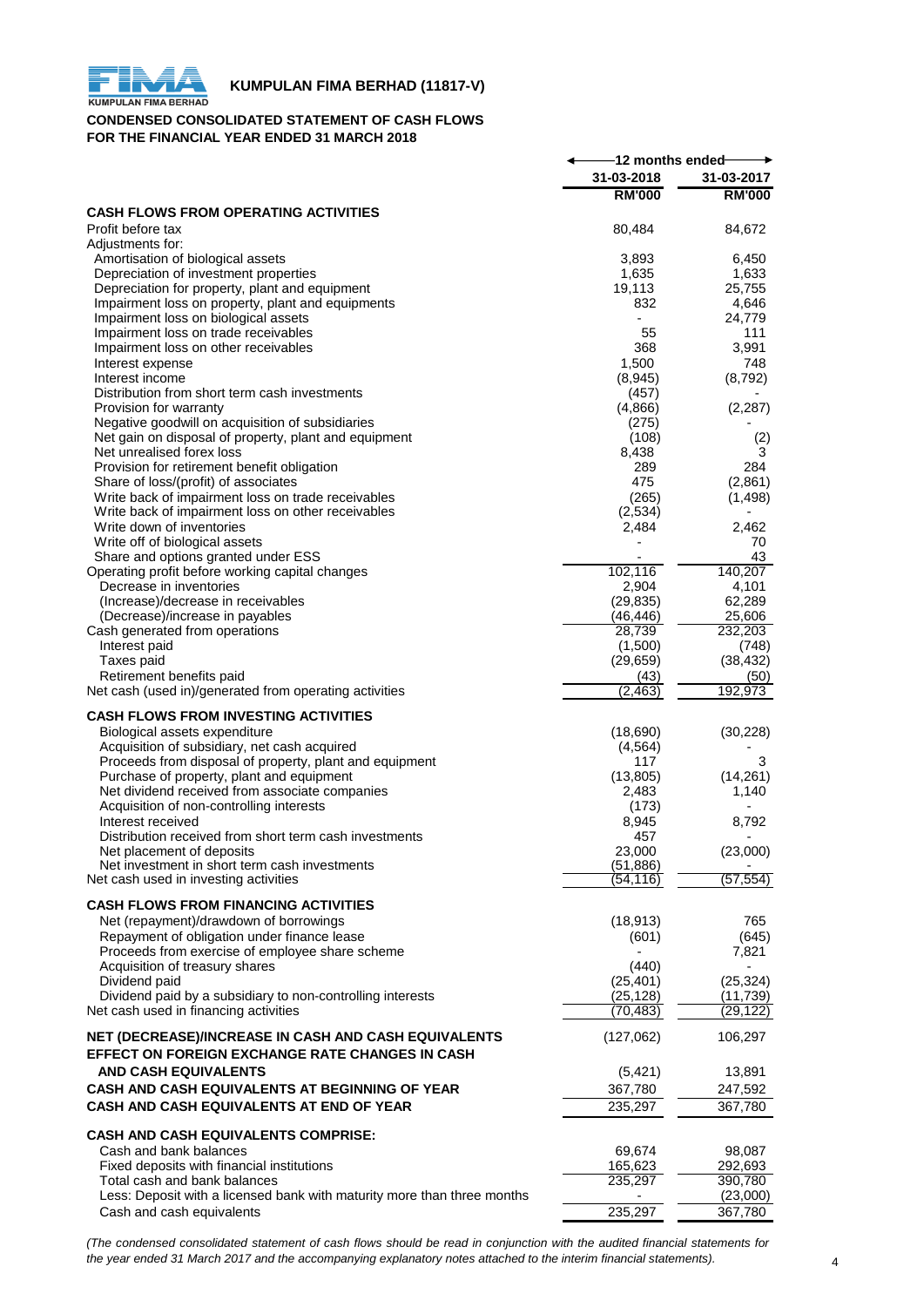

#### **CONDENSED CONSOLIDATED STATEMENT OF CASH FLOWS FOR THE FINANCIAL YEAR ENDED 31 MARCH 2018**

|                                                                         | -12 months ended- |                 |
|-------------------------------------------------------------------------|-------------------|-----------------|
|                                                                         | 31-03-2018        | 31-03-2017      |
|                                                                         | <b>RM'000</b>     | <b>RM'000</b>   |
| <b>CASH FLOWS FROM OPERATING ACTIVITIES</b>                             |                   |                 |
| Profit before tax                                                       | 80,484            | 84,672          |
| Adjustments for:                                                        |                   |                 |
| Amortisation of biological assets                                       | 3,893             | 6,450           |
| Depreciation of investment properties                                   | 1,635             | 1,633           |
| Depreciation for property, plant and equipment                          | 19,113            | 25,755          |
| Impairment loss on property, plant and equipments                       | 832               | 4,646           |
| Impairment loss on biological assets                                    |                   | 24,779          |
| Impairment loss on trade receivables                                    | 55                | 111             |
| Impairment loss on other receivables                                    | 368               | 3,991           |
| Interest expense<br>Interest income                                     | 1,500             | 748             |
| Distribution from short term cash investments                           | (8,945)<br>(457)  | (8,792)         |
| Provision for warranty                                                  | (4,866)           | (2, 287)        |
| Negative goodwill on acquisition of subsidiaries                        | (275)             |                 |
| Net gain on disposal of property, plant and equipment                   | (108)             | (2)             |
| Net unrealised forex loss                                               | 8,438             | 3               |
| Provision for retirement benefit obligation                             | 289               | 284             |
| Share of loss/(profit) of associates                                    | 475               | (2,861)         |
| Write back of impairment loss on trade receivables                      | (265)             | (1, 498)        |
| Write back of impairment loss on other receivables                      | (2,534)           |                 |
| Write down of inventories                                               | 2,484             | 2,462           |
| Write off of biological assets                                          |                   | 70              |
| Share and options granted under ESS                                     |                   | 43              |
| Operating profit before working capital changes                         | 102,116           | 140,207         |
| Decrease in inventories                                                 | 2,904             | 4,101           |
| (Increase)/decrease in receivables                                      | (29, 835)         | 62,289          |
| (Decrease)/increase in payables                                         | (46, 446)         | 25,606          |
| Cash generated from operations                                          | 28,739            | 232,203         |
| Interest paid                                                           | (1,500)           | (748)           |
| Taxes paid                                                              | (29, 659)         | (38, 432)       |
| Retirement benefits paid                                                | (43)<br>(2, 463)  | (50)<br>192,973 |
| Net cash (used in)/generated from operating activities                  |                   |                 |
| <b>CASH FLOWS FROM INVESTING ACTIVITIES</b>                             |                   |                 |
| Biological assets expenditure                                           | (18,690)          | (30, 228)       |
| Acquisition of subsidiary, net cash acquired                            | (4, 564)          |                 |
| Proceeds from disposal of property, plant and equipment                 | 117               | 3               |
| Purchase of property, plant and equipment                               | (13,805)          | (14,261)        |
| Net dividend received from associate companies                          | 2,483             | 1,140           |
| Acquisition of non-controlling interests                                | (173)             |                 |
| Interest received                                                       | 8,945             | 8,792           |
| Distribution received from short term cash investments                  | 457               |                 |
| Net placement of deposits                                               | 23,000            | (23,000)        |
| Net investment in short term cash investments                           | (51, 886)         |                 |
| Net cash used in investing activities                                   | (54,116)          | (57, 554)       |
| <b>CASH FLOWS FROM FINANCING ACTIVITIES</b>                             |                   |                 |
| Net (repayment)/drawdown of borrowings                                  | (18, 913)         | 765             |
| Repayment of obligation under finance lease                             | (601)             | (645)           |
| Proceeds from exercise of employee share scheme                         |                   | 7,821           |
| Acquisition of treasury shares                                          | (440)             |                 |
| Dividend paid                                                           | (25, 401)         | (25, 324)       |
| Dividend paid by a subsidiary to non-controlling interests              | (25, 128)         | (11,739)        |
| Net cash used in financing activities                                   | (70,483)          | (29, 122)       |
|                                                                         |                   |                 |
| NET (DECREASE)/INCREASE IN CASH AND CASH EQUIVALENTS                    | (127,062)         | 106,297         |
| EFFECT ON FOREIGN EXCHANGE RATE CHANGES IN CASH                         |                   |                 |
| <b>AND CASH EQUIVALENTS</b>                                             | (5, 421)          | 13,891          |
| CASH AND CASH EQUIVALENTS AT BEGINNING OF YEAR                          | 367,780           | 247,592         |
| <b>CASH AND CASH EQUIVALENTS AT END OF YEAR</b>                         | 235,297           | 367,780         |
|                                                                         |                   |                 |
| <b>CASH AND CASH EQUIVALENTS COMPRISE:</b>                              |                   |                 |
| Cash and bank balances                                                  | 69,674            | 98,087          |
| Fixed deposits with financial institutions                              | 165,623           | 292,693         |
| Total cash and bank balances                                            | 235,297           | 390,780         |
| Less: Deposit with a licensed bank with maturity more than three months |                   | (23,000)        |
| Cash and cash equivalents                                               | 235,297           | 367,780         |

(The condensed consolidated statement of cash flows should be read in conjunction with the audited financial statements for *the year ended 31 March 2017 and the accompanying explanatory notes attached to the interim financial statements).* 4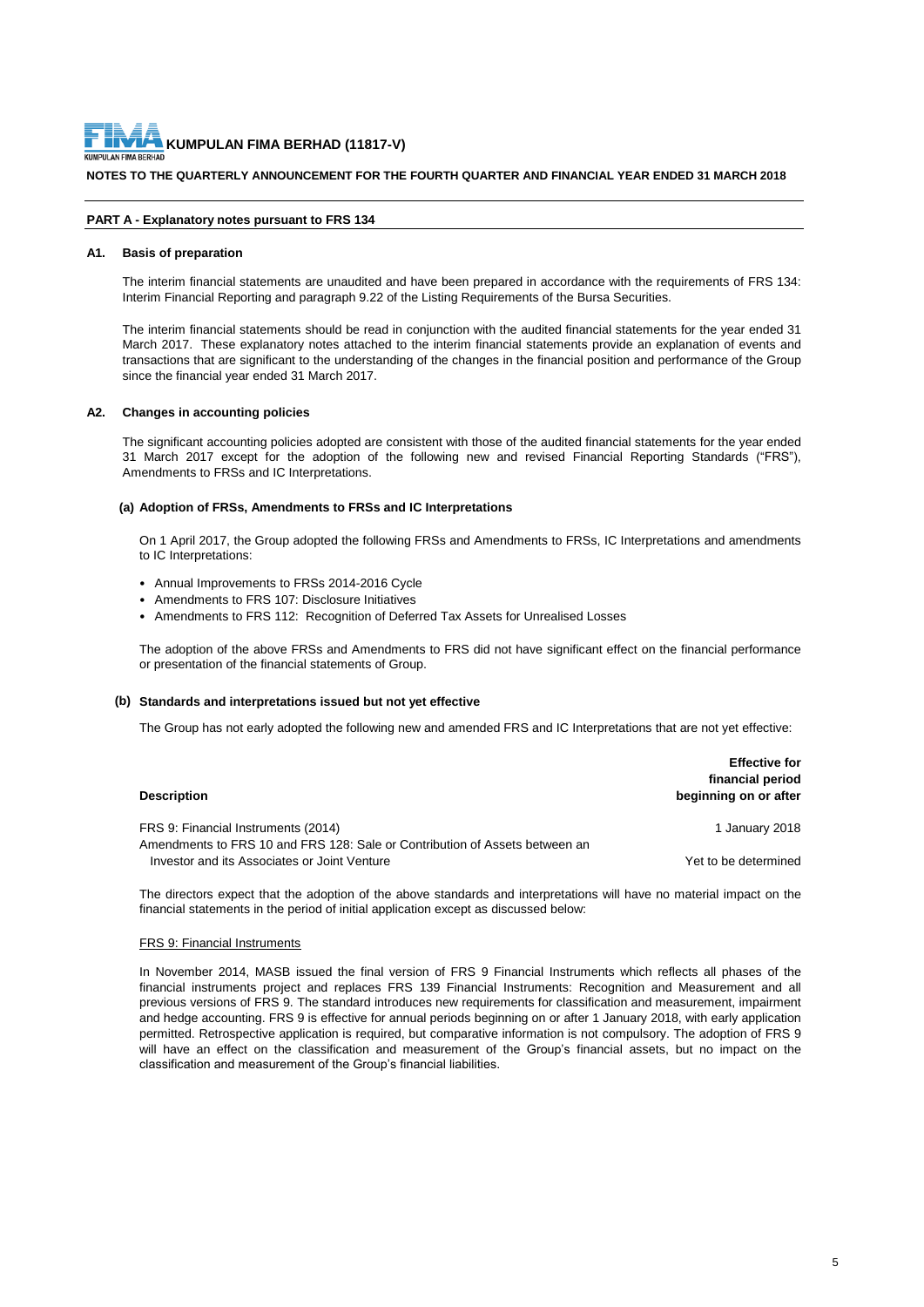

#### **NOTES TO THE QUARTERLY ANNOUNCEMENT FOR THE FOURTH QUARTER AND FINANCIAL YEAR ENDED 31 MARCH 2018**

#### **PART A - Explanatory notes pursuant to FRS 134**

#### **A1. Basis of preparation**

The interim financial statements are unaudited and have been prepared in accordance with the requirements of FRS 134: Interim Financial Reporting and paragraph 9.22 of the Listing Requirements of the Bursa Securities.

The interim financial statements should be read in conjunction with the audited financial statements for the year ended 31 March 2017. These explanatory notes attached to the interim financial statements provide an explanation of events and transactions that are significant to the understanding of the changes in the financial position and performance of the Group since the financial year ended 31 March 2017.

#### **A2. Changes in accounting policies**

The significant accounting policies adopted are consistent with those of the audited financial statements for the year ended 31 March 2017 except for the adoption of the following new and revised Financial Reporting Standards ("FRS"), Amendments to FRSs and IC Interpretations.

#### **(a) Adoption of FRSs, Amendments to FRSs and IC Interpretations**

On 1 April 2017, the Group adopted the following FRSs and Amendments to FRSs, IC Interpretations and amendments to IC Interpretations:

- Annual Improvements to FRSs 2014-2016 Cycle
- Amendments to FRS 107: Disclosure Initiatives
- Amendments to FRS 112: Recognition of Deferred Tax Assets for Unrealised Losses

The adoption of the above FRSs and Amendments to FRS did not have significant effect on the financial performance or presentation of the financial statements of Group.

#### **(b) Standards and interpretations issued but not yet effective**

The Group has not early adopted the following new and amended FRS and IC Interpretations that are not yet effective:

| <b>Description</b>                                                                                                 | <b>Effective for</b><br>financial period<br>beginning on or after |
|--------------------------------------------------------------------------------------------------------------------|-------------------------------------------------------------------|
| FRS 9: Financial Instruments (2014)<br>Amendments to FRS 10 and FRS 128: Sale or Contribution of Assets between an | 1 January 2018                                                    |
| Investor and its Associates or Joint Venture                                                                       | Yet to be determined                                              |

The directors expect that the adoption of the above standards and interpretations will have no material impact on the financial statements in the period of initial application except as discussed below:

#### FRS 9: Financial Instruments

In November 2014, MASB issued the final version of FRS 9 Financial Instruments which reflects all phases of the financial instruments project and replaces FRS 139 Financial Instruments: Recognition and Measurement and all previous versions of FRS 9. The standard introduces new requirements for classification and measurement, impairment and hedge accounting. FRS 9 is effective for annual periods beginning on or after 1 January 2018, with early application permitted. Retrospective application is required, but comparative information is not compulsory. The adoption of FRS 9 will have an effect on the classification and measurement of the Group's financial assets, but no impact on the classification and measurement of the Group's financial liabilities.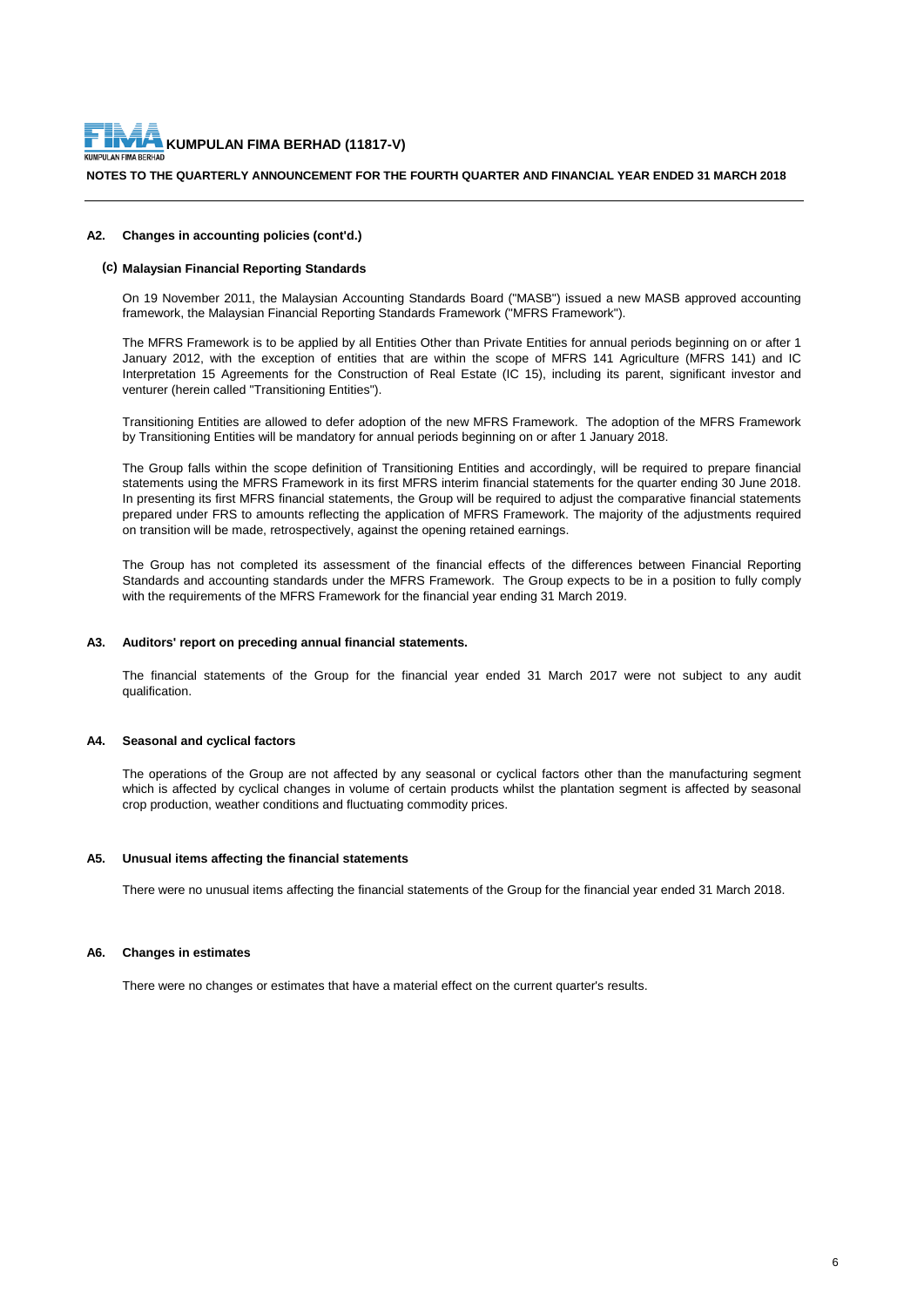

#### **NOTES TO THE QUARTERLY ANNOUNCEMENT FOR THE FOURTH QUARTER AND FINANCIAL YEAR ENDED 31 MARCH 2018**

#### **A2. Changes in accounting policies (cont'd.)**

#### **(c) Malaysian Financial Reporting Standards**

On 19 November 2011, the Malaysian Accounting Standards Board ("MASB") issued a new MASB approved accounting framework, the Malaysian Financial Reporting Standards Framework ("MFRS Framework").

The MFRS Framework is to be applied by all Entities Other than Private Entities for annual periods beginning on or after 1 January 2012, with the exception of entities that are within the scope of MFRS 141 Agriculture (MFRS 141) and IC Interpretation 15 Agreements for the Construction of Real Estate (IC 15), including its parent, significant investor and venturer (herein called "Transitioning Entities").

Transitioning Entities are allowed to defer adoption of the new MFRS Framework. The adoption of the MFRS Framework by Transitioning Entities will be mandatory for annual periods beginning on or after 1 January 2018.

The Group falls within the scope definition of Transitioning Entities and accordingly, will be required to prepare financial statements using the MFRS Framework in its first MFRS interim financial statements for the quarter ending 30 June 2018. In presenting its first MFRS financial statements, the Group will be required to adjust the comparative financial statements prepared under FRS to amounts reflecting the application of MFRS Framework. The majority of the adjustments required on transition will be made, retrospectively, against the opening retained earnings.

The Group has not completed its assessment of the financial effects of the differences between Financial Reporting Standards and accounting standards under the MFRS Framework. The Group expects to be in a position to fully comply with the requirements of the MFRS Framework for the financial year ending 31 March 2019.

#### **A3. Auditors' report on preceding annual financial statements.**

The financial statements of the Group for the financial year ended 31 March 2017 were not subject to any audit qualification.

#### **A4. Seasonal and cyclical factors**

The operations of the Group are not affected by any seasonal or cyclical factors other than the manufacturing segment which is affected by cyclical changes in volume of certain products whilst the plantation segment is affected by seasonal crop production, weather conditions and fluctuating commodity prices.

#### **A5. Unusual items affecting the financial statements**

There were no unusual items affecting the financial statements of the Group for the financial year ended 31 March 2018.

#### **A6. Changes in estimates**

There were no changes or estimates that have a material effect on the current quarter's results.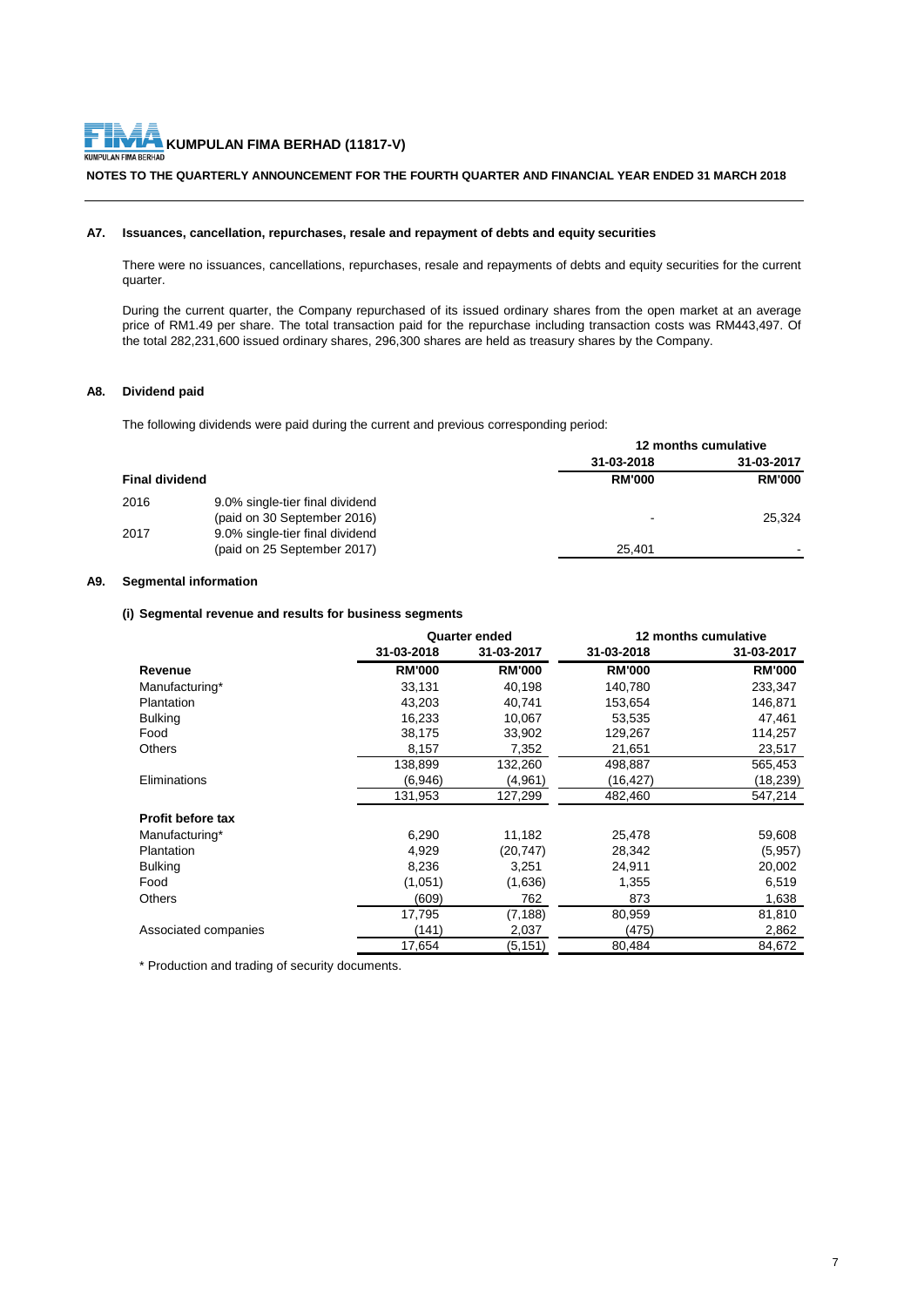**KUMPULAN FIMA BERHAD (11817-V)**<br>KUMPULAN FIMA BERHAD (11817-V) KUM

#### **NOTES TO THE QUARTERLY ANNOUNCEMENT FOR THE FOURTH QUARTER AND FINANCIAL YEAR ENDED 31 MARCH 2018**

#### **A7. Issuances, cancellation, repurchases, resale and repayment of debts and equity securities**

There were no issuances, cancellations, repurchases, resale and repayments of debts and equity securities for the current quarter.

During the current quarter, the Company repurchased of its issued ordinary shares from the open market at an average price of RM1.49 per share. The total transaction paid for the repurchase including transaction costs was RM443,497. Of the total 282,231,600 issued ordinary shares, 296,300 shares are held as treasury shares by the Company.

#### **A8. Dividend paid**

The following dividends were paid during the current and previous corresponding period:

|                       |                                                                | 12 months cumulative |               |
|-----------------------|----------------------------------------------------------------|----------------------|---------------|
|                       |                                                                | 31-03-2018           | 31-03-2017    |
| <b>Final dividend</b> |                                                                | <b>RM'000</b>        | <b>RM'000</b> |
| 2016                  | 9.0% single-tier final dividend<br>(paid on 30 September 2016) | $\,$                 | 25.324        |
| 2017                  | 9.0% single-tier final dividend<br>(paid on 25 September 2017) | 25.401               |               |

#### **A9. Segmental information**

#### **(i) Segmental revenue and results for business segments**

|                          |               | <b>Quarter ended</b> | 12 months cumulative |               |  |
|--------------------------|---------------|----------------------|----------------------|---------------|--|
|                          | 31-03-2018    | 31-03-2017           | 31-03-2018           | 31-03-2017    |  |
| Revenue                  | <b>RM'000</b> | <b>RM'000</b>        | <b>RM'000</b>        | <b>RM'000</b> |  |
| Manufacturing*           | 33,131        | 40,198               | 140,780              | 233,347       |  |
| Plantation               | 43,203        | 40,741               | 153,654              | 146,871       |  |
| <b>Bulking</b>           | 16,233        | 10,067               | 53,535               | 47,461        |  |
| Food                     | 38,175        | 33,902               | 129,267              | 114,257       |  |
| <b>Others</b>            | 8,157         | 7,352                | 21,651               | 23,517        |  |
|                          | 138,899       | 132,260              | 498,887              | 565,453       |  |
| Eliminations             | (6.946)       | (4,961)              | (16,427)             | (18, 239)     |  |
|                          | 131,953       | 127,299              | 482,460              | 547,214       |  |
| <b>Profit before tax</b> |               |                      |                      |               |  |
| Manufacturing*           | 6,290         | 11,182               | 25,478               | 59,608        |  |
| Plantation               | 4,929         | (20, 747)            | 28,342               | (5,957)       |  |
| <b>Bulking</b>           | 8,236         | 3,251                | 24,911               | 20,002        |  |
| Food                     | (1,051)       | (1,636)              | 1,355                | 6,519         |  |
| <b>Others</b>            | (609)         | 762                  | 873                  | 1,638         |  |
|                          | 17,795        | (7,188)              | 80,959               | 81,810        |  |
| Associated companies     | (141)         | 2,037                | (475)                | 2,862         |  |
|                          | 17,654        | (5, 151)             | 80,484               | 84,672        |  |

\* Production and trading of security documents.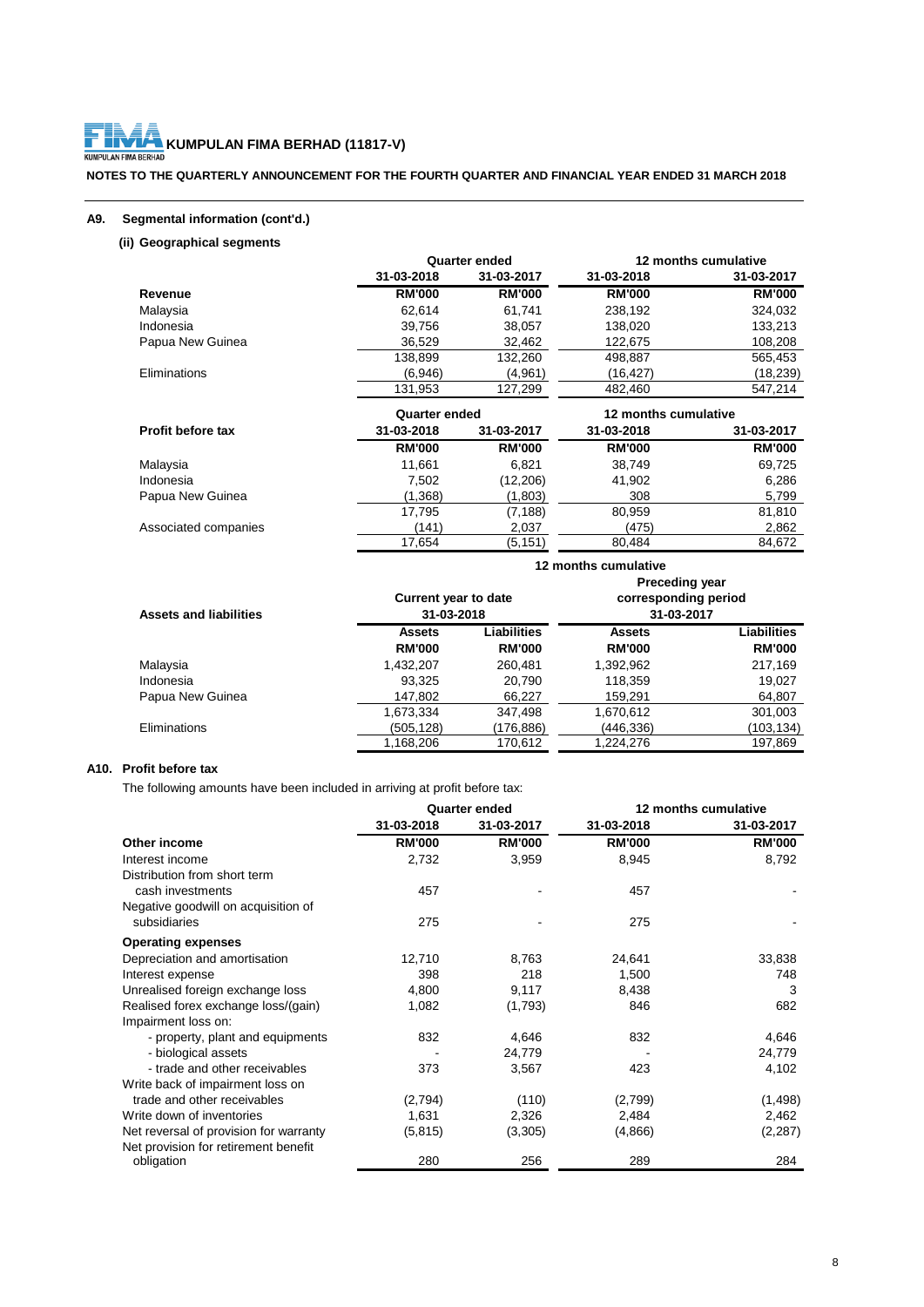### **KUMPULAN FIMA BERHAD (11817-V)**<br>KUMPULAN FIMA BERHAD (11817-V)

#### **NOTES TO THE QUARTERLY ANNOUNCEMENT FOR THE FOURTH QUARTER AND FINANCIAL YEAR ENDED 31 MARCH 2018**

#### **A9. Segmental information (cont'd.)**

#### **(ii) Geographical segments**

|                          |               | <b>Quarter ended</b> |                      | 12 months cumulative |
|--------------------------|---------------|----------------------|----------------------|----------------------|
|                          | 31-03-2018    | 31-03-2017           | 31-03-2018           | 31-03-2017           |
| Revenue                  | <b>RM'000</b> | <b>RM'000</b>        | <b>RM'000</b>        | <b>RM'000</b>        |
| Malaysia                 | 62,614        | 61,741               | 238,192              | 324,032              |
| Indonesia                | 39,756        | 38,057               | 138,020              | 133,213              |
| Papua New Guinea         | 36,529        | 32,462               | 122,675              | 108,208              |
|                          | 138,899       | 132,260              | 498,887              | 565,453              |
| Eliminations             | (6,946)       | (4,961)              | (16,427)             | (18, 239)            |
|                          | 131,953       | 127,299              | 482,460              | 547,214              |
|                          |               |                      |                      |                      |
|                          | Quarter ended |                      | 12 months cumulative |                      |
| <b>Profit before tax</b> | 31-03-2018    | 31-03-2017           | 31-03-2018           | 31-03-2017           |
|                          | <b>RM'000</b> | <b>RM'000</b>        | <b>RM'000</b>        | <b>RM'000</b>        |
| Malaysia                 | 11,661        | 6,821                | 38,749               | 69,725               |
| Indonesia                | 7,502         | (12, 206)            | 41,902               | 6,286                |
| Papua New Guinea         | (1,368)       | (1,803)              | 308                  | 5,799                |
|                          | 17,795        | (7, 188)             | 80,959               | 81,810               |
| Associated companies     | (141)         | 2,037                | (475)                | 2,862                |

|                               | 12 months cumulative<br><b>Preceding year</b> |                    |                                    |                    |
|-------------------------------|-----------------------------------------------|--------------------|------------------------------------|--------------------|
| <b>Assets and liabilities</b> | <b>Current year to date</b><br>31-03-2018     |                    | corresponding period<br>31-03-2017 |                    |
|                               | <b>Assets</b>                                 | <b>Liabilities</b> | <b>Assets</b>                      | <b>Liabilities</b> |
|                               | <b>RM'000</b>                                 | <b>RM'000</b>      | <b>RM'000</b>                      | <b>RM'000</b>      |
| Malaysia                      | 1,432,207                                     | 260,481            | 1,392,962                          | 217,169            |
| Indonesia                     | 93.325                                        | 20.790             | 118,359                            | 19,027             |
| Papua New Guinea              | 147,802                                       | 66,227             | 159,291                            | 64,807             |
|                               | 1,673,334                                     | 347,498            | 1,670,612                          | 301,003            |
| <b>Eliminations</b>           | (505,128)                                     | (176,886)          | (446,336)                          | (103,134)          |
|                               | 1,168,206                                     | 170.612            | 1,224,276                          | 197.869            |

#### **A10. Profit before tax**

The following amounts have been included in arriving at profit before tax:

|                                        |               | <b>Quarter ended</b> | 12 months cumulative |               |
|----------------------------------------|---------------|----------------------|----------------------|---------------|
|                                        | 31-03-2018    | 31-03-2017           | 31-03-2018           | 31-03-2017    |
| Other income                           | <b>RM'000</b> | <b>RM'000</b>        | <b>RM'000</b>        | <b>RM'000</b> |
| Interest income                        | 2,732         | 3,959                | 8,945                | 8,792         |
| Distribution from short term           |               |                      |                      |               |
| cash investments                       | 457           |                      | 457                  |               |
| Negative goodwill on acquisition of    |               |                      |                      |               |
| subsidiaries                           | 275           |                      | 275                  |               |
| <b>Operating expenses</b>              |               |                      |                      |               |
| Depreciation and amortisation          | 12,710        | 8,763                | 24,641               | 33,838        |
| Interest expense                       | 398           | 218                  | 1,500                | 748           |
| Unrealised foreign exchange loss       | 4,800         | 9,117                | 8,438                | 3             |
| Realised forex exchange loss/(gain)    | 1,082         | (1,793)              | 846                  | 682           |
| Impairment loss on:                    |               |                      |                      |               |
| - property, plant and equipments       | 832           | 4,646                | 832                  | 4,646         |
| - biological assets                    |               | 24,779               |                      | 24,779        |
| - trade and other receivables          | 373           | 3,567                | 423                  | 4,102         |
| Write back of impairment loss on       |               |                      |                      |               |
| trade and other receivables            | (2,794)       | (110)                | (2,799)              | (1, 498)      |
| Write down of inventories              | 1,631         | 2,326                | 2,484                | 2,462         |
| Net reversal of provision for warranty | (5, 815)      | (3,305)              | (4,866)              | (2, 287)      |
| Net provision for retirement benefit   |               |                      |                      |               |
| obligation                             | 280           | 256                  | 289                  | 284           |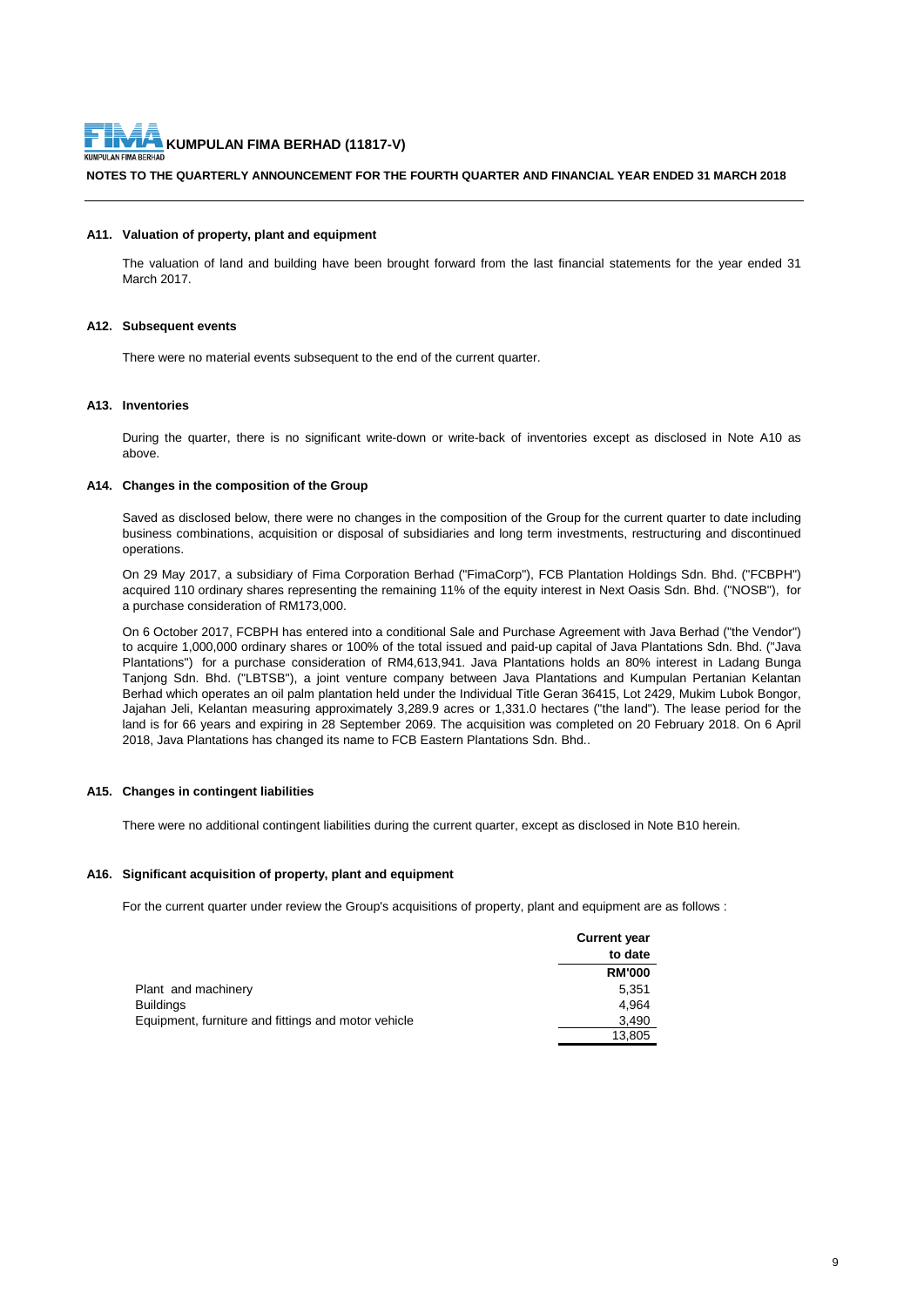

#### **NOTES TO THE QUARTERLY ANNOUNCEMENT FOR THE FOURTH QUARTER AND FINANCIAL YEAR ENDED 31 MARCH 2018**

#### **A11. Valuation of property, plant and equipment**

The valuation of land and building have been brought forward from the last financial statements for the year ended 31 March 2017.

#### **A12. Subsequent events**

There were no material events subsequent to the end of the current quarter.

#### **A13. Inventories**

During the quarter, there is no significant write-down or write-back of inventories except as disclosed in Note A10 as above.

#### **A14. Changes in the composition of the Group**

Saved as disclosed below, there were no changes in the composition of the Group for the current quarter to date including business combinations, acquisition or disposal of subsidiaries and long term investments, restructuring and discontinued operations.

On 29 May 2017, a subsidiary of Fima Corporation Berhad ("FimaCorp"), FCB Plantation Holdings Sdn. Bhd. ("FCBPH") acquired 110 ordinary shares representing the remaining 11% of the equity interest in Next Oasis Sdn. Bhd. ("NOSB"), for a purchase consideration of RM173,000.

On 6 October 2017, FCBPH has entered into a conditional Sale and Purchase Agreement with Java Berhad ("the Vendor") to acquire 1,000,000 ordinary shares or 100% of the total issued and paid-up capital of Java Plantations Sdn. Bhd. ("Java Plantations") for a purchase consideration of RM4,613,941. Java Plantations holds an 80% interest in Ladang Bunga Tanjong Sdn. Bhd. ("LBTSB"), a joint venture company between Java Plantations and Kumpulan Pertanian Kelantan Berhad which operates an oil palm plantation held under the Individual Title Geran 36415, Lot 2429, Mukim Lubok Bongor, Jajahan Jeli, Kelantan measuring approximately 3,289.9 acres or 1,331.0 hectares ("the land"). The lease period for the land is for 66 years and expiring in 28 September 2069. The acquisition was completed on 20 February 2018. On 6 April 2018, Java Plantations has changed its name to FCB Eastern Plantations Sdn. Bhd..

#### **A15. Changes in contingent liabilities**

There were no additional contingent liabilities during the current quarter, except as disclosed in Note B10 herein.

#### **A16. Significant acquisition of property, plant and equipment**

For the current quarter under review the Group's acquisitions of property, plant and equipment are as follows :

|                                                     | <b>Current year</b> |
|-----------------------------------------------------|---------------------|
|                                                     | to date             |
|                                                     | <b>RM'000</b>       |
| Plant and machinery                                 | 5.351               |
| Buildings                                           | 4.964               |
| Equipment, furniture and fittings and motor vehicle | 3,490               |
|                                                     | 13,805              |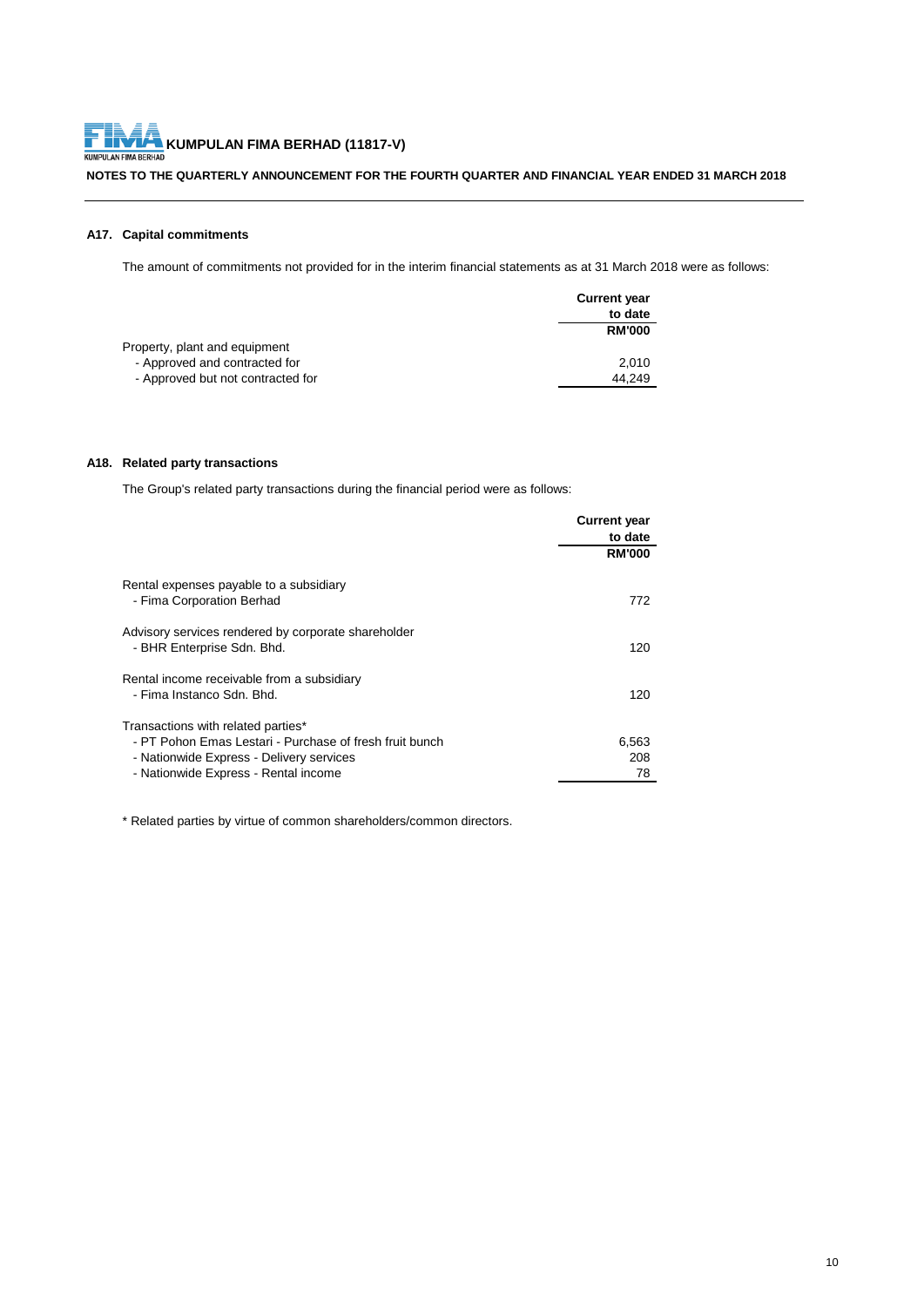# **KUMPULAN FIMA BERHAD (11817-V)**<br>KUMPULAN FIMA BERHAD (11817-V)

#### **NOTES TO THE QUARTERLY ANNOUNCEMENT FOR THE FOURTH QUARTER AND FINANCIAL YEAR ENDED 31 MARCH 2018**

#### **A17. Capital commitments**

The amount of commitments not provided for in the interim financial statements as at 31 March 2018 were as follows:

|                                   | <b>Current year</b> |
|-----------------------------------|---------------------|
|                                   | to date             |
|                                   | <b>RM'000</b>       |
| Property, plant and equipment     |                     |
| - Approved and contracted for     | 2.010               |
| - Approved but not contracted for | 44.249              |

#### **A18. Related party transactions**

The Group's related party transactions during the financial period were as follows:

|                                                                                                                                                                                   | <b>Current year</b> |
|-----------------------------------------------------------------------------------------------------------------------------------------------------------------------------------|---------------------|
|                                                                                                                                                                                   | to date             |
|                                                                                                                                                                                   | <b>RM'000</b>       |
| Rental expenses payable to a subsidiary<br>- Fima Corporation Berhad                                                                                                              | 772                 |
| Advisory services rendered by corporate shareholder<br>- BHR Enterprise Sdn. Bhd.                                                                                                 | 120                 |
| Rental income receivable from a subsidiary<br>- Fima Instanco Sdn. Bhd.                                                                                                           | 120                 |
| Transactions with related parties*<br>- PT Pohon Emas Lestari - Purchase of fresh fruit bunch<br>- Nationwide Express - Delivery services<br>- Nationwide Express - Rental income | 6,563<br>208<br>78  |

\* Related parties by virtue of common shareholders/common directors.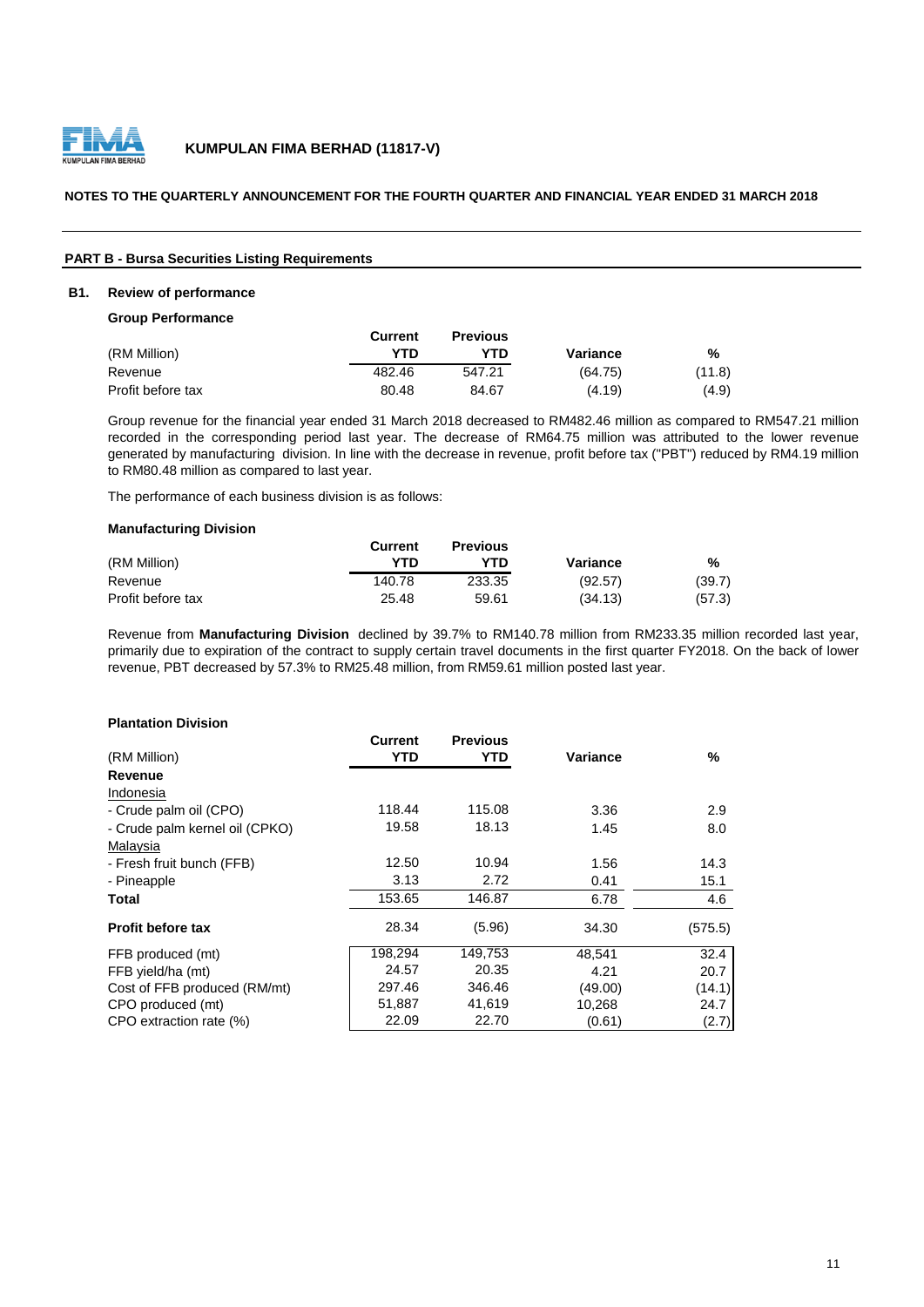

#### **NOTES TO THE QUARTERLY ANNOUNCEMENT FOR THE FOURTH QUARTER AND FINANCIAL YEAR ENDED 31 MARCH 2018**

#### **PART B - Bursa Securities Listing Requirements**

#### **B1. Review of performance**

**Group Performance**

|                   | Current | <b>Previous</b> |          |        |
|-------------------|---------|-----------------|----------|--------|
| (RM Million)      | YTD     | YTD             | Variance | %      |
| Revenue           | 482.46  | 547.21          | (64.75)  | (11.8) |
| Profit before tax | 80.48   | 84.67           | (4.19)   | (4.9)  |

Group revenue for the financial year ended 31 March 2018 decreased to RM482.46 million as compared to RM547.21 million recorded in the corresponding period last year. The decrease of RM64.75 million was attributed to the lower revenue generated by manufacturing division. In line with the decrease in revenue, profit before tax ("PBT") reduced by RM4.19 million to RM80.48 million as compared to last year.

The performance of each business division is as follows:

#### **Manufacturing Division**

|                   | Current | <b>Previous</b> |          |        |
|-------------------|---------|-----------------|----------|--------|
| (RM Million)      | YTN     | YTN             | Variance | %      |
| Revenue           | 140.78  | 233.35          | (92.57)  | (39.7) |
| Profit before tax | 25.48   | 59.61           | (34.13)  | (57.3) |

Revenue from **Manufacturing Division** declined by 39.7% to RM140.78 million from RM233.35 million recorded last year, primarily due to expiration of the contract to supply certain travel documents in the first quarter FY2018. On the back of lower revenue, PBT decreased by 57.3% to RM25.48 million, from RM59.61 million posted last year.

#### **Plantation Division**

|                                | Current | <b>Previous</b> |          |         |
|--------------------------------|---------|-----------------|----------|---------|
| (RM Million)                   | YTD     | YTD             | Variance | $\%$    |
| Revenue                        |         |                 |          |         |
| Indonesia                      |         |                 |          |         |
| - Crude palm oil (CPO)         | 118.44  | 115.08          | 3.36     | 2.9     |
| - Crude palm kernel oil (CPKO) | 19.58   | 18.13           | 1.45     | 8.0     |
| Malaysia                       |         |                 |          |         |
| - Fresh fruit bunch (FFB)      | 12.50   | 10.94           | 1.56     | 14.3    |
| - Pineapple                    | 3.13    | 2.72            | 0.41     | 15.1    |
| Total                          | 153.65  | 146.87          | 6.78     | 4.6     |
| <b>Profit before tax</b>       | 28.34   | (5.96)          | 34.30    | (575.5) |
| FFB produced (mt)              | 198.294 | 149,753         | 48.541   | 32.4    |
| FFB yield/ha (mt)              | 24.57   | 20.35           | 4.21     | 20.7    |
| Cost of FFB produced (RM/mt)   | 297.46  | 346.46          | (49.00)  | (14.1)  |
| CPO produced (mt)              | 51,887  | 41,619          | 10,268   | 24.7    |
| CPO extraction rate (%)        | 22.09   | 22.70           | (0.61)   | (2.7)   |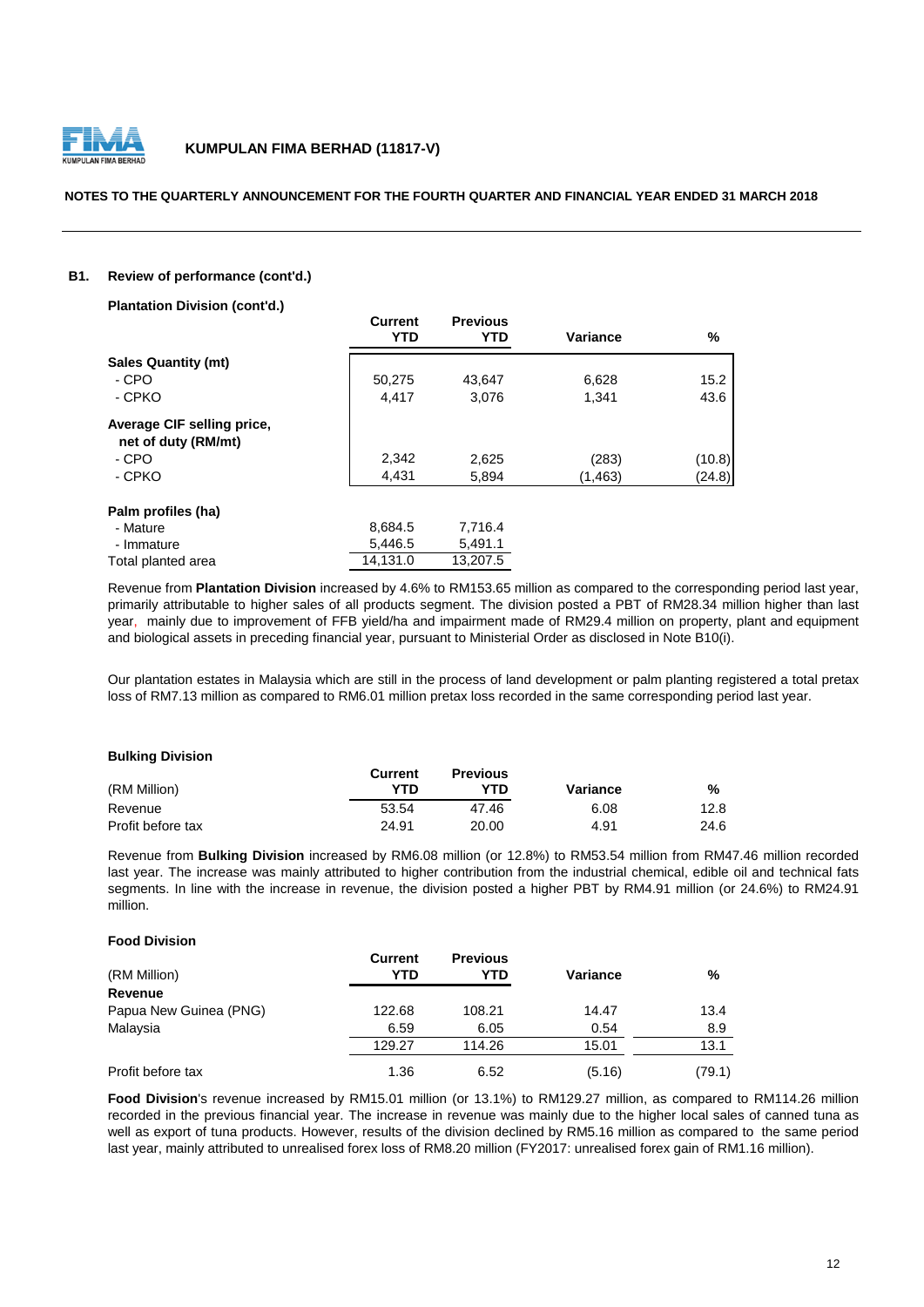

#### **NOTES TO THE QUARTERLY ANNOUNCEMENT FOR THE FOURTH QUARTER AND FINANCIAL YEAR ENDED 31 MARCH 2018**

#### **B1. Review of performance (cont'd.)**

| <b>Plantation Division (cont'd.)</b>              |                              |                               |          |        |
|---------------------------------------------------|------------------------------|-------------------------------|----------|--------|
|                                                   | <b>Current</b><br><b>YTD</b> | <b>Previous</b><br><b>YTD</b> | Variance | %      |
| <b>Sales Quantity (mt)</b>                        |                              |                               |          |        |
| - CPO                                             | 50,275                       | 43,647                        | 6,628    | 15.2   |
| - CPKO                                            | 4,417                        | 3,076                         | 1,341    | 43.6   |
| Average CIF selling price,<br>net of duty (RM/mt) |                              |                               |          |        |
| - CPO                                             | 2,342                        | 2,625                         | (283)    | (10.8) |
| - CPKO                                            | 4,431                        | 5,894                         | (1, 463) | (24.8) |
| Palm profiles (ha)                                |                              |                               |          |        |
| - Mature                                          | 8,684.5                      | 7,716.4                       |          |        |
| - Immature                                        | 5,446.5                      | 5,491.1                       |          |        |
| Total planted area                                | 14,131.0                     | 13.207.5                      |          |        |

Revenue from **Plantation Division** increased by 4.6% to RM153.65 million as compared to the corresponding period last year, primarily attributable to higher sales of all products segment. The division posted a PBT of RM28.34 million higher than last year, mainly due to improvement of FFB yield/ha and impairment made of RM29.4 million on property, plant and equipment and biological assets in preceding financial year, pursuant to Ministerial Order as disclosed in Note B10(i).

Our plantation estates in Malaysia which are still in the process of land development or palm planting registered a total pretax loss of RM7.13 million as compared to RM6.01 million pretax loss recorded in the same corresponding period last year.

#### **Bulking Division**

|                   | Current | <b>Previous</b> |          |      |
|-------------------|---------|-----------------|----------|------|
| (RM Million)      | YTD     | YTD.            | Variance | %    |
| Revenue           | 53.54   | 47.46           | 6.08     | 12.8 |
| Profit before tax | 24.91   | 20.00           | 4.91     | 24.6 |

Revenue from **Bulking Division** increased by RM6.08 million (or 12.8%) to RM53.54 million from RM47.46 million recorded last year. The increase was mainly attributed to higher contribution from the industrial chemical, edible oil and technical fats segments. In line with the increase in revenue, the division posted a higher PBT by RM4.91 million (or 24.6%) to RM24.91 million.

#### **Food Division**

| (RM Million)           | <b>Current</b><br>YTD | <b>Previous</b><br>YTD | Variance | %      |
|------------------------|-----------------------|------------------------|----------|--------|
| <b>Revenue</b>         |                       |                        |          |        |
| Papua New Guinea (PNG) | 122.68                | 108.21                 | 14.47    | 13.4   |
| Malaysia               | 6.59                  | 6.05                   | 0.54     | 8.9    |
|                        | 129.27                | 114.26                 | 15.01    | 13.1   |
| Profit before tax      | 1.36                  | 6.52                   | (5.16)   | (79.1) |

**Food Division**'s revenue increased by RM15.01 million (or 13.1%) to RM129.27 million, as compared to RM114.26 million recorded in the previous financial year. The increase in revenue was mainly due to the higher local sales of canned tuna as well as export of tuna products. However, results of the division declined by RM5.16 million as compared to the same period last year, mainly attributed to unrealised forex loss of RM8.20 million (FY2017: unrealised forex gain of RM1.16 million).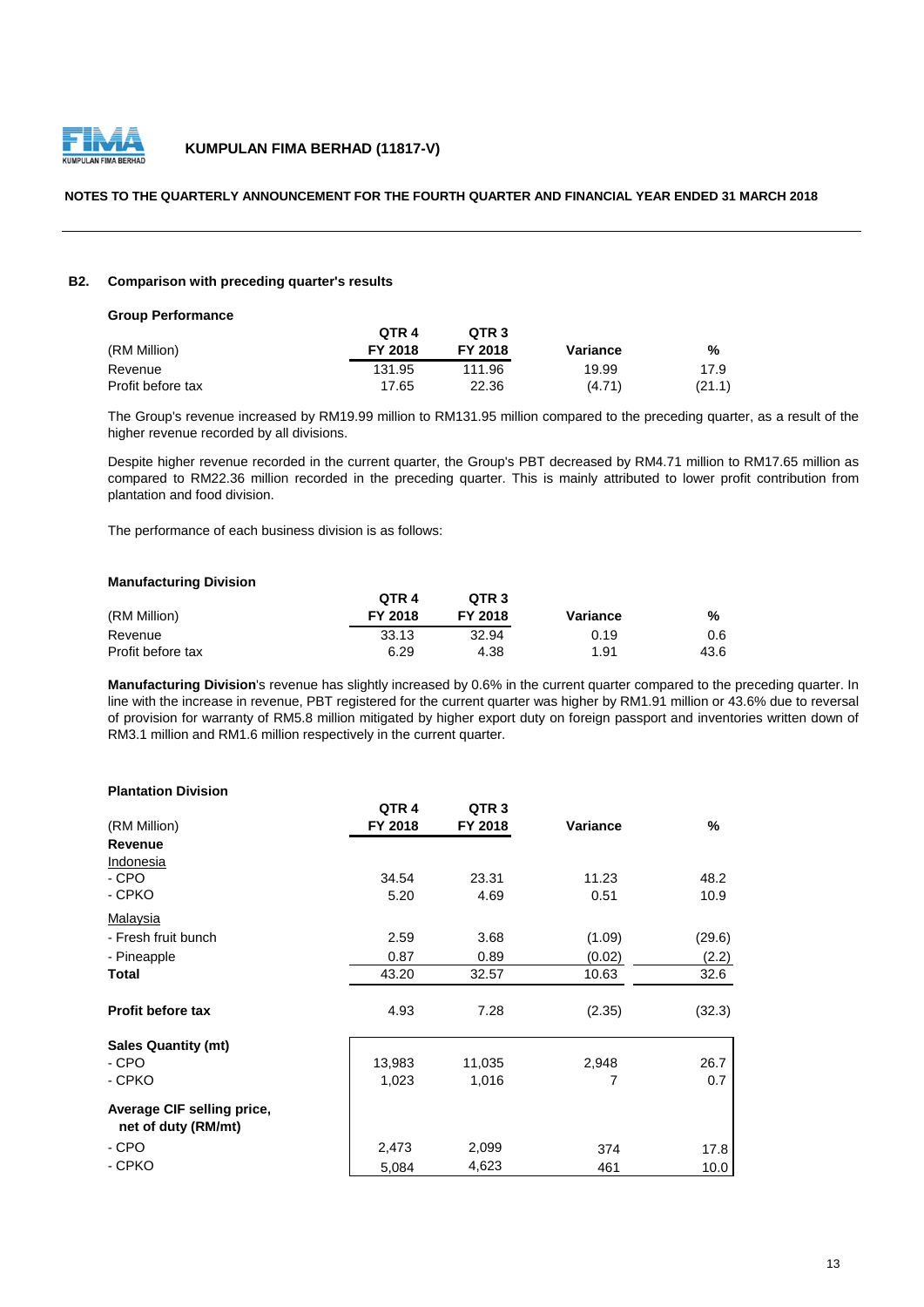

#### **NOTES TO THE QUARTERLY ANNOUNCEMENT FOR THE FOURTH QUARTER AND FINANCIAL YEAR ENDED 31 MARCH 2018**

#### **B2. Comparison with preceding quarter's results**

| <b>Group Performance</b> |         |                  |          |        |
|--------------------------|---------|------------------|----------|--------|
|                          | QTR 4   | QTR <sub>3</sub> |          |        |
| (RM Million)             | FY 2018 | FY 2018          | Variance | %      |
| Revenue                  | 131.95  | 111.96           | 19.99    | 17.9   |
| Profit before tax        | 17.65   | 22.36            | (4.71)   | (21.1) |

The Group's revenue increased by RM19.99 million to RM131.95 million compared to the preceding quarter, as a result of the higher revenue recorded by all divisions.

Despite higher revenue recorded in the current quarter, the Group's PBT decreased by RM4.71 million to RM17.65 million as compared to RM22.36 million recorded in the preceding quarter. This is mainly attributed to lower profit contribution from plantation and food division.

The performance of each business division is as follows:

#### **Manufacturing Division**

|                   | OTR <sub>4</sub> | OTR <sub>3</sub> |          |      |
|-------------------|------------------|------------------|----------|------|
| (RM Million)      | FY 2018          | FY 2018          | Variance | %    |
| Revenue           | 33.13            | 32.94            | 0.19     | 0.6  |
| Profit before tax | 6.29             | 4.38             | 1.91     | 43.6 |

**Manufacturing Division**'s revenue has slightly increased by 0.6% in the current quarter compared to the preceding quarter. In line with the increase in revenue, PBT registered for the current quarter was higher by RM1.91 million or 43.6% due to reversal of provision for warranty of RM5.8 million mitigated by higher export duty on foreign passport and inventories written down of RM3.1 million and RM1.6 million respectively in the current quarter.

#### **Plantation Division**

|                                                   | QTR <sub>4</sub> | QTR <sub>3</sub> |          |        |
|---------------------------------------------------|------------------|------------------|----------|--------|
| (RM Million)                                      | FY 2018          | FY 2018          | Variance | $\%$   |
| <b>Revenue</b>                                    |                  |                  |          |        |
| Indonesia                                         |                  |                  |          |        |
| - CPO                                             | 34.54            | 23.31            | 11.23    | 48.2   |
| - CPKO                                            | 5.20             | 4.69             | 0.51     | 10.9   |
| Malaysia                                          |                  |                  |          |        |
| - Fresh fruit bunch                               | 2.59             | 3.68             | (1.09)   | (29.6) |
| - Pineapple                                       | 0.87             | 0.89             | (0.02)   | (2.2)  |
| Total                                             | 43.20            | 32.57            | 10.63    | 32.6   |
| <b>Profit before tax</b>                          | 4.93             | 7.28             | (2.35)   | (32.3) |
| <b>Sales Quantity (mt)</b>                        |                  |                  |          |        |
| - CPO                                             | 13,983           | 11,035           | 2,948    | 26.7   |
| - CPKO                                            | 1,023            | 1,016            | 7        | 0.7    |
| Average CIF selling price,<br>net of duty (RM/mt) |                  |                  |          |        |
| - CPO                                             | 2,473            | 2,099            | 374      | 17.8   |
| - CPKO                                            | 5,084            | 4,623            | 461      | 10.0   |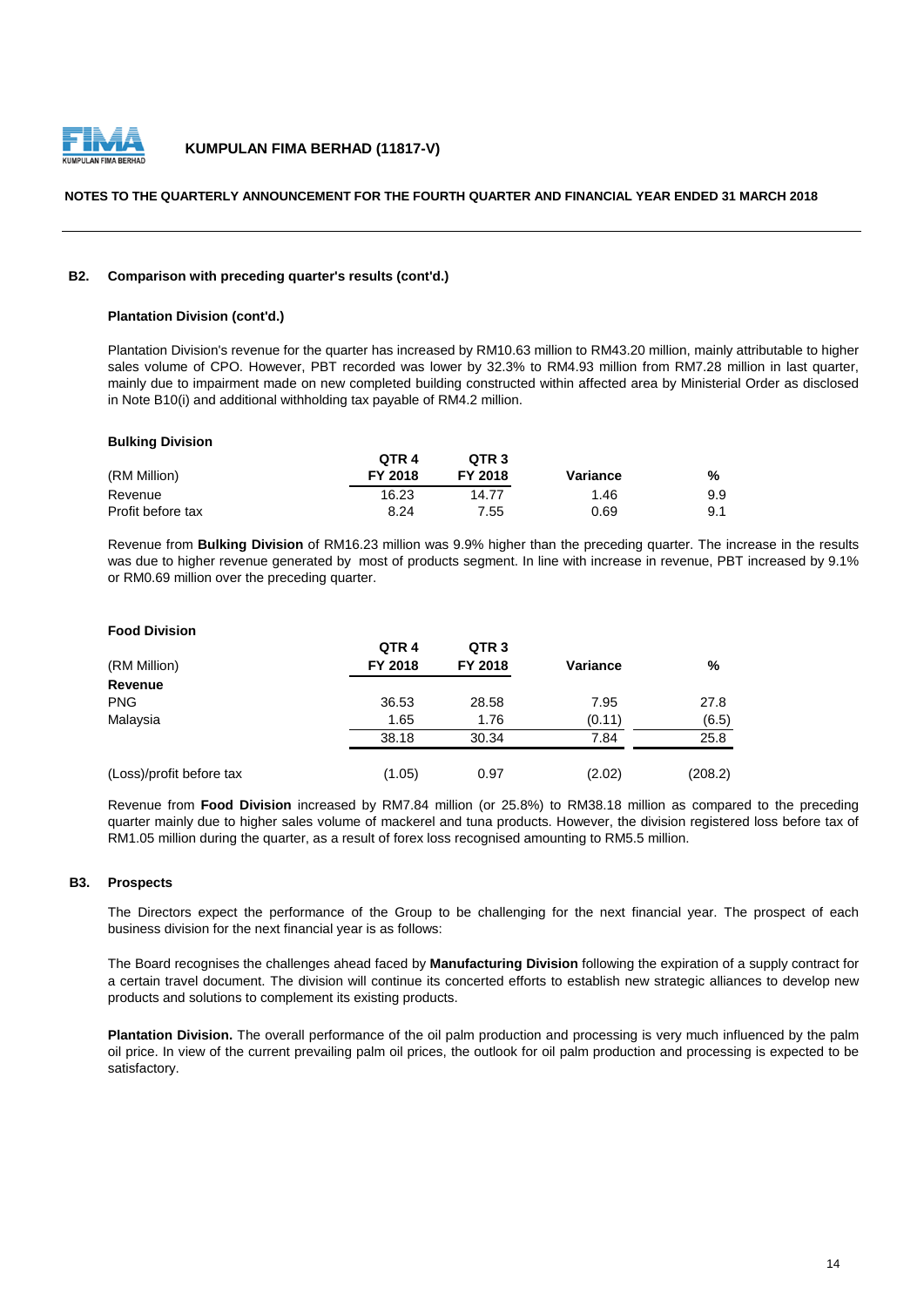

#### **NOTES TO THE QUARTERLY ANNOUNCEMENT FOR THE FOURTH QUARTER AND FINANCIAL YEAR ENDED 31 MARCH 2018**

#### **B2. Comparison with preceding quarter's results (cont'd.)**

#### **Plantation Division (cont'd.)**

Plantation Division's revenue for the quarter has increased by RM10.63 million to RM43.20 million, mainly attributable to higher sales volume of CPO. However, PBT recorded was lower by 32.3% to RM4.93 million from RM7.28 million in last quarter, mainly due to impairment made on new completed building constructed within affected area by Ministerial Order as disclosed in Note B10(i) and additional withholding tax payable of RM4.2 million.

#### **Bulking Division**

**Food Division**

|                   | QTR <sub>4</sub> | QTR <sub>3</sub> |          |     |
|-------------------|------------------|------------------|----------|-----|
| (RM Million)      | FY 2018          | FY 2018          | Variance | %   |
| Revenue           | 16.23            | 14.77            | 1.46     | 9.9 |
| Profit before tax | 8.24             | 7.55             | 0.69     | 9.1 |

Revenue from **Bulking Division** of RM16.23 million was 9.9% higher than the preceding quarter. The increase in the results was due to higher revenue generated by most of products segment. In line with increase in revenue, PBT increased by 9.1% or RM0.69 million over the preceding quarter.

| <b>Food Division</b>     |                  |                  |                 |         |
|--------------------------|------------------|------------------|-----------------|---------|
|                          | QTR <sub>4</sub> | QTR <sub>3</sub> |                 |         |
| (RM Million)             | FY 2018          | FY 2018          | <b>Variance</b> | %       |
| Revenue                  |                  |                  |                 |         |
| <b>PNG</b>               | 36.53            | 28.58            | 7.95            | 27.8    |
| Malaysia                 | 1.65             | 1.76             | (0.11)          | (6.5)   |
|                          | 38.18            | 30.34            | 7.84            | 25.8    |
| (Loss)/profit before tax | (1.05)           | 0.97             | (2.02)          | (208.2) |

Revenue from **Food Division** increased by RM7.84 million (or 25.8%) to RM38.18 million as compared to the preceding quarter mainly due to higher sales volume of mackerel and tuna products. However, the division registered loss before tax of RM1.05 million during the quarter, as a result of forex loss recognised amounting to RM5.5 million.

#### **B3. Prospects**

The Directors expect the performance of the Group to be challenging for the next financial year. The prospect of each business division for the next financial year is as follows:

The Board recognises the challenges ahead faced by **Manufacturing Division** following the expiration of a supply contract for a certain travel document. The division will continue its concerted efforts to establish new strategic alliances to develop new products and solutions to complement its existing products.

**Plantation Division.** The overall performance of the oil palm production and processing is very much influenced by the palm oil price. In view of the current prevailing palm oil prices, the outlook for oil palm production and processing is expected to be satisfactory.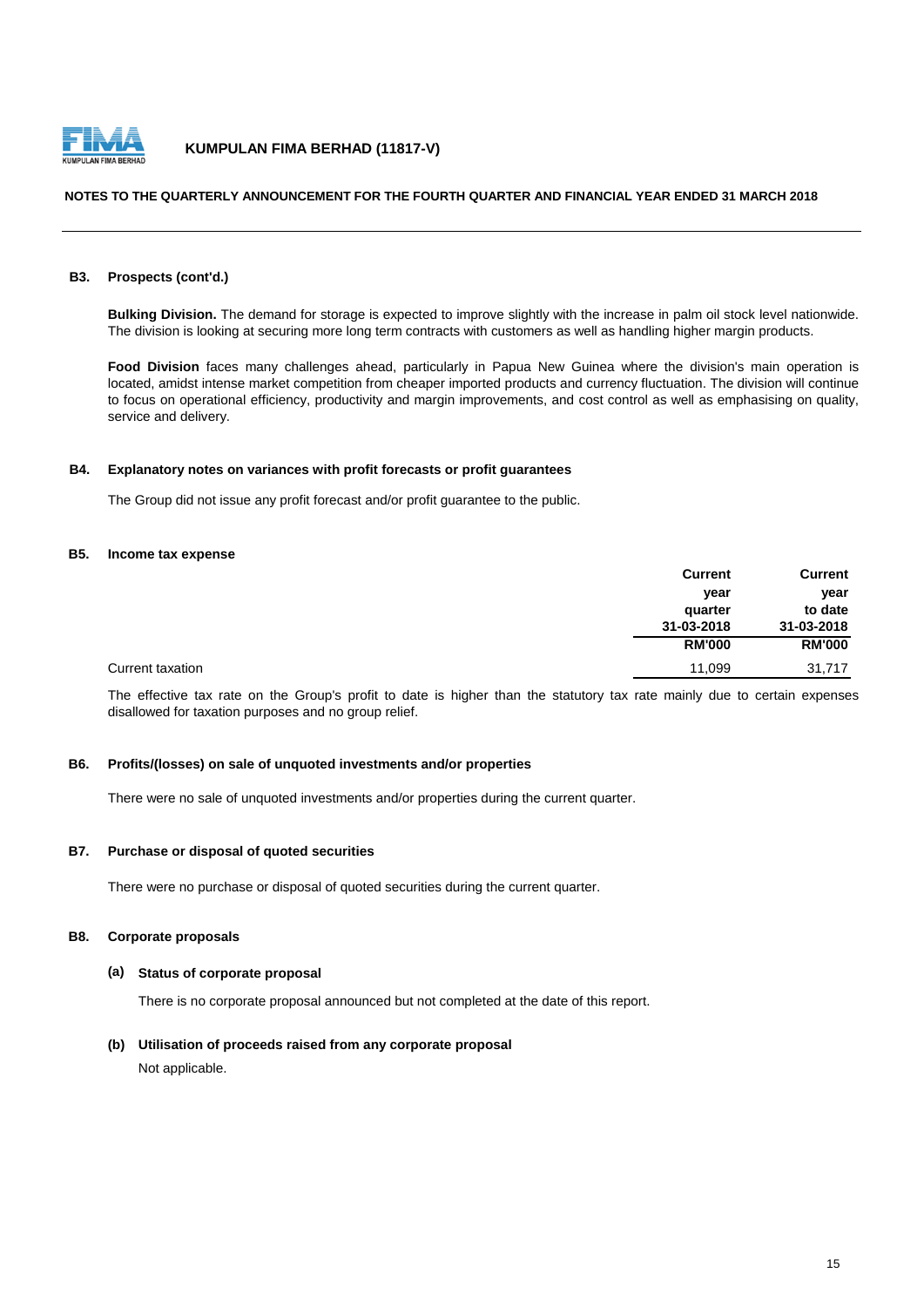

#### **NOTES TO THE QUARTERLY ANNOUNCEMENT FOR THE FOURTH QUARTER AND FINANCIAL YEAR ENDED 31 MARCH 2018**

#### **B3. Prospects (cont'd.)**

**Bulking Division.** The demand for storage is expected to improve slightly with the increase in palm oil stock level nationwide. The division is looking at securing more long term contracts with customers as well as handling higher margin products.

**Food Division** faces many challenges ahead, particularly in Papua New Guinea where the division's main operation is located, amidst intense market competition from cheaper imported products and currency fluctuation. The division will continue to focus on operational efficiency, productivity and margin improvements, and cost control as well as emphasising on quality, service and delivery.

#### **B4. Explanatory notes on variances with profit forecasts or profit guarantees**

The Group did not issue any profit forecast and/or profit guarantee to the public.

#### **B5. Income tax expense**

|                  | <b>Current</b> | <b>Current</b> |
|------------------|----------------|----------------|
|                  | year           | year           |
|                  | quarter        | to date        |
|                  | 31-03-2018     | 31-03-2018     |
|                  | <b>RM'000</b>  | <b>RM'000</b>  |
| Current taxation | 11,099         | 31,717         |

The effective tax rate on the Group's profit to date is higher than the statutory tax rate mainly due to certain expenses disallowed for taxation purposes and no group relief.

#### **B6. Profits/(losses) on sale of unquoted investments and/or properties**

There were no sale of unquoted investments and/or properties during the current quarter.

#### **B7. Purchase or disposal of quoted securities**

There were no purchase or disposal of quoted securities during the current quarter.

#### **B8. Corporate proposals**

#### **(a) Status of corporate proposal**

There is no corporate proposal announced but not completed at the date of this report.

#### **(b) Utilisation of proceeds raised from any corporate proposal**

Not applicable.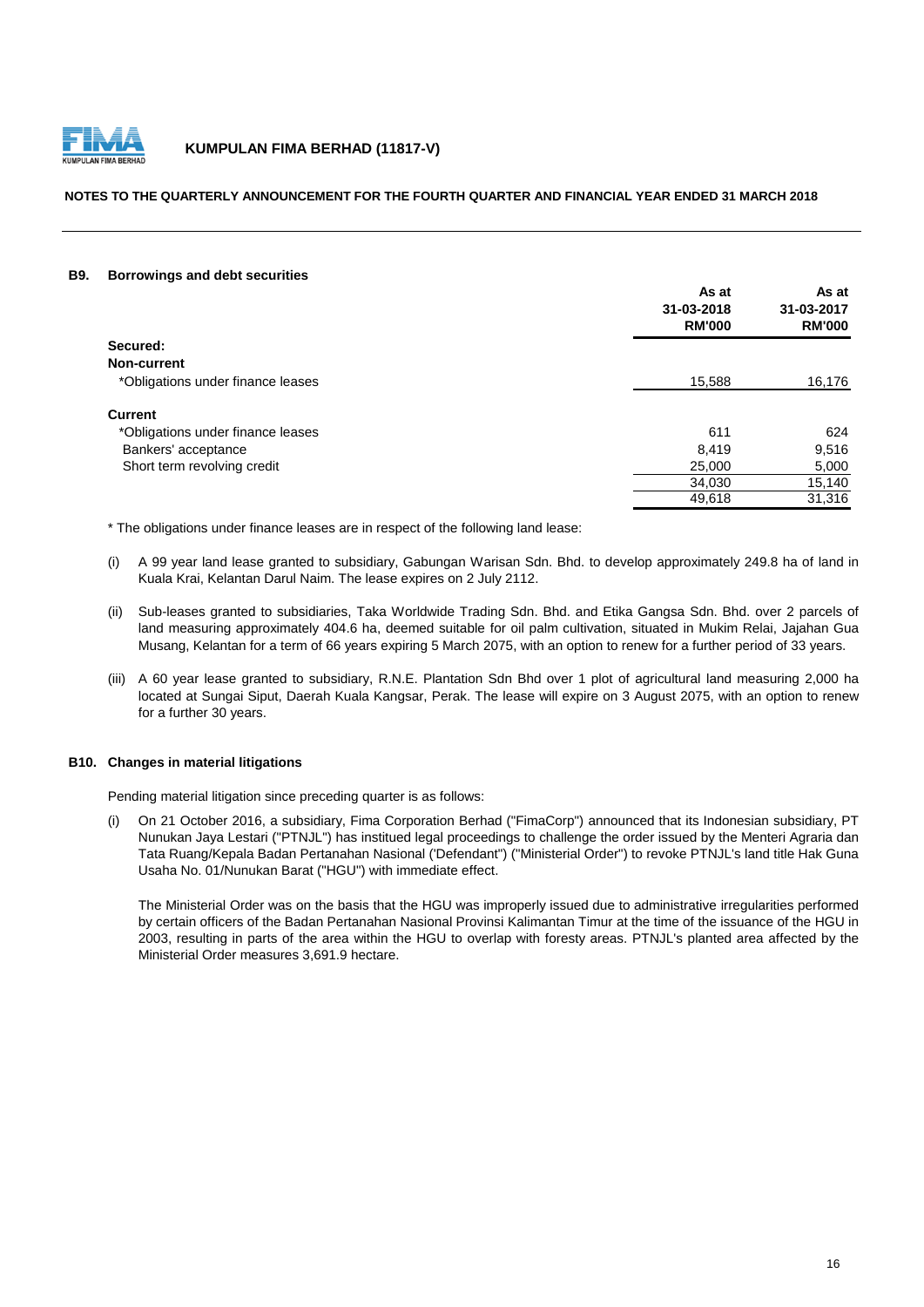

#### **NOTES TO THE QUARTERLY ANNOUNCEMENT FOR THE FOURTH QUARTER AND FINANCIAL YEAR ENDED 31 MARCH 2018**

#### **B9. Borrowings and debt securities**

|                                   | As at<br>31-03-2018<br><b>RM'000</b> | As at<br>31-03-2017<br><b>RM'000</b> |
|-----------------------------------|--------------------------------------|--------------------------------------|
| Secured:                          |                                      |                                      |
| Non-current                       |                                      |                                      |
| *Obligations under finance leases | 15.588                               | 16,176                               |
| <b>Current</b>                    |                                      |                                      |
| *Obligations under finance leases | 611                                  | 624                                  |
| Bankers' acceptance               | 8,419                                | 9,516                                |
| Short term revolving credit       | 25,000                               | 5,000                                |
|                                   | 34,030                               | 15,140                               |
|                                   | 49,618                               | 31,316                               |

\* The obligations under finance leases are in respect of the following land lease:

- (i) A 99 year land lease granted to subsidiary, Gabungan Warisan Sdn. Bhd. to develop approximately 249.8 ha of land in Kuala Krai, Kelantan Darul Naim. The lease expires on 2 July 2112.
- (ii) Sub-leases granted to subsidiaries, Taka Worldwide Trading Sdn. Bhd. and Etika Gangsa Sdn. Bhd. over 2 parcels of land measuring approximately 404.6 ha, deemed suitable for oil palm cultivation, situated in Mukim Relai, Jajahan Gua Musang, Kelantan for a term of 66 years expiring 5 March 2075, with an option to renew for a further period of 33 years.
- (iii) A 60 year lease granted to subsidiary, R.N.E. Plantation Sdn Bhd over 1 plot of agricultural land measuring 2,000 ha located at Sungai Siput, Daerah Kuala Kangsar, Perak. The lease will expire on 3 August 2075, with an option to renew for a further 30 years.

#### **B10. Changes in material litigations**

Pending material litigation since preceding quarter is as follows:

(i) On 21 October 2016, a subsidiary, Fima Corporation Berhad ("FimaCorp") announced that its Indonesian subsidiary, PT Nunukan Jaya Lestari ("PTNJL") has institued legal proceedings to challenge the order issued by the Menteri Agraria dan Tata Ruang/Kepala Badan Pertanahan Nasional ('Defendant") ("Ministerial Order") to revoke PTNJL's land title Hak Guna Usaha No. 01/Nunukan Barat ("HGU") with immediate effect.

The Ministerial Order was on the basis that the HGU was improperly issued due to administrative irregularities performed by certain officers of the Badan Pertanahan Nasional Provinsi Kalimantan Timur at the time of the issuance of the HGU in 2003, resulting in parts of the area within the HGU to overlap with foresty areas. PTNJL's planted area affected by the Ministerial Order measures 3,691.9 hectare.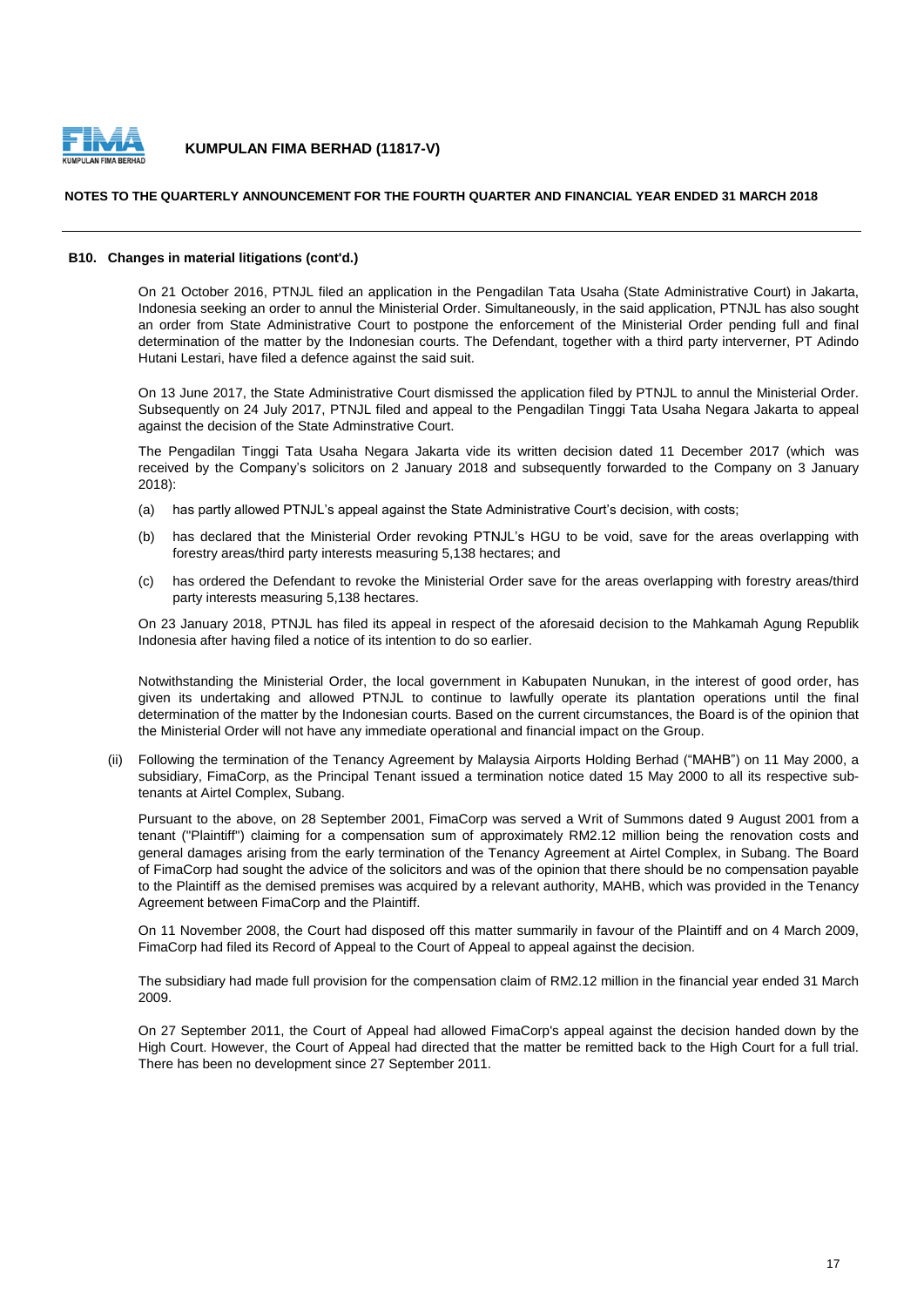

#### **NOTES TO THE QUARTERLY ANNOUNCEMENT FOR THE FOURTH QUARTER AND FINANCIAL YEAR ENDED 31 MARCH 2018**

#### **B10. Changes in material litigations (cont'd.)**

On 21 October 2016, PTNJL filed an application in the Pengadilan Tata Usaha (State Administrative Court) in Jakarta, Indonesia seeking an order to annul the Ministerial Order. Simultaneously, in the said application, PTNJL has also sought an order from State Administrative Court to postpone the enforcement of the Ministerial Order pending full and final determination of the matter by the Indonesian courts. The Defendant, together with a third party interverner, PT Adindo Hutani Lestari, have filed a defence against the said suit.

On 13 June 2017, the State Administrative Court dismissed the application filed by PTNJL to annul the Ministerial Order. Subsequently on 24 July 2017, PTNJL filed and appeal to the Pengadilan Tinggi Tata Usaha Negara Jakarta to appeal against the decision of the State Adminstrative Court.

The Pengadilan Tinggi Tata Usaha Negara Jakarta vide its written decision dated 11 December 2017 (which was received by the Company's solicitors on 2 January 2018 and subsequently forwarded to the Company on 3 January 2018):

- (a) has partly allowed PTNJL's appeal against the State Administrative Court's decision, with costs;
- (b) has declared that the Ministerial Order revoking PTNJL's HGU to be void, save for the areas overlapping with forestry areas/third party interests measuring 5,138 hectares; and
- (c) has ordered the Defendant to revoke the Ministerial Order save for the areas overlapping with forestry areas/third party interests measuring 5,138 hectares.

On 23 January 2018, PTNJL has filed its appeal in respect of the aforesaid decision to the Mahkamah Agung Republik Indonesia after having filed a notice of its intention to do so earlier.

Notwithstanding the Ministerial Order, the local government in Kabupaten Nunukan, in the interest of good order, has given its undertaking and allowed PTNJL to continue to lawfully operate its plantation operations until the final determination of the matter by the Indonesian courts. Based on the current circumstances, the Board is of the opinion that the Ministerial Order will not have any immediate operational and financial impact on the Group.

(ii) Following the termination of the Tenancy Agreement by Malaysia Airports Holding Berhad ("MAHB") on 11 May 2000, a subsidiary, FimaCorp, as the Principal Tenant issued a termination notice dated 15 May 2000 to all its respective subtenants at Airtel Complex, Subang.

Pursuant to the above, on 28 September 2001, FimaCorp was served a Writ of Summons dated 9 August 2001 from a tenant ("Plaintiff") claiming for a compensation sum of approximately RM2.12 million being the renovation costs and general damages arising from the early termination of the Tenancy Agreement at Airtel Complex, in Subang. The Board of FimaCorp had sought the advice of the solicitors and was of the opinion that there should be no compensation payable to the Plaintiff as the demised premises was acquired by a relevant authority, MAHB, which was provided in the Tenancy Agreement between FimaCorp and the Plaintiff.

On 11 November 2008, the Court had disposed off this matter summarily in favour of the Plaintiff and on 4 March 2009, FimaCorp had filed its Record of Appeal to the Court of Appeal to appeal against the decision.

The subsidiary had made full provision for the compensation claim of RM2.12 million in the financial year ended 31 March 2009.

On 27 September 2011, the Court of Appeal had allowed FimaCorp's appeal against the decision handed down by the High Court. However, the Court of Appeal had directed that the matter be remitted back to the High Court for a full trial. There has been no development since 27 September 2011.